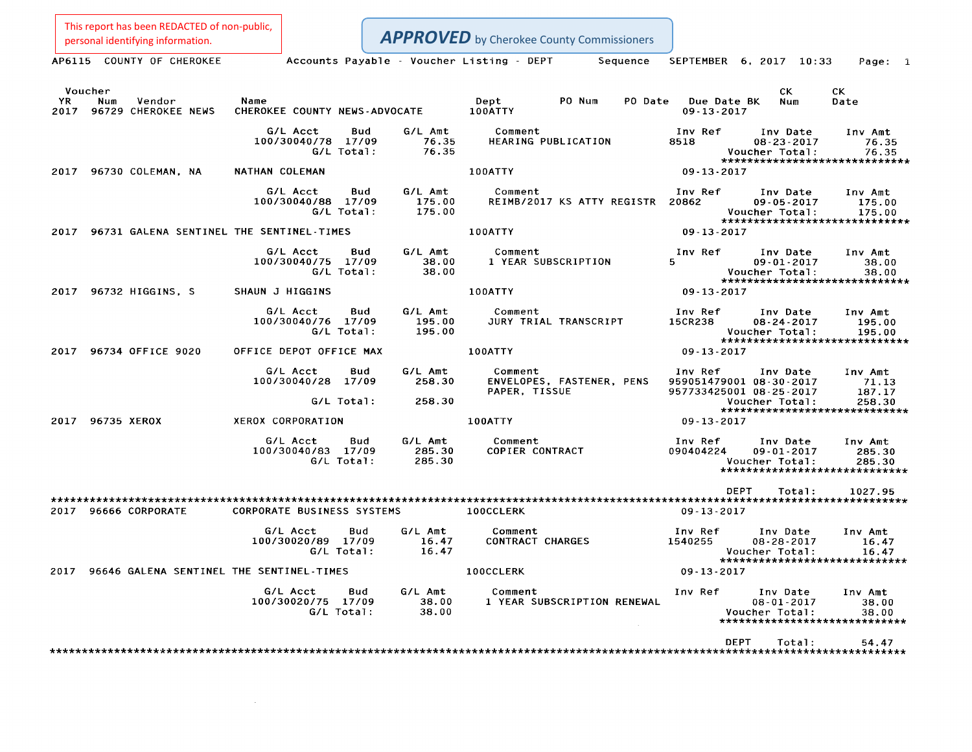This report has been REDACTED of non-public,<br>personal identifying information.

**APPROVED** by Cherokee County Commissioners

| AP6115 COUNTY OF CHEROKEE                        |                                              | Accounts Payable - Voucher Listing - DEPT | Sequence                                              | SEPTEMBER 6, 2017 10:33                                                                                 | Page: 1                     |
|--------------------------------------------------|----------------------------------------------|-------------------------------------------|-------------------------------------------------------|---------------------------------------------------------------------------------------------------------|-----------------------------|
| Voucher                                          |                                              |                                           |                                                       | CK.                                                                                                     | CK.                         |
| YR.<br>Num<br>Vendor<br>2017 96729 CHEROKEE NEWS | Name<br>CHEROKEE COUNTY NEWS-ADVOCATE        |                                           | Dept<br>PO Num<br>PO Date<br>100ATTY                  | Due Date BK<br>Num<br>$09 - 13 - 2017$                                                                  | Date                        |
|                                                  | G/L Acct<br>100/30040/78 17/09<br>G/L Total: | G/L Amt<br>Bud<br>76.35<br>76.35          | Comment<br>HEARING PUBLICATION                        | Inv Ref<br>Inv Date<br>8518<br>$08 - 23 - 2017$<br>Voucher Total:<br>******************************     | Inv Amt<br>76.35<br>76.35   |
| 2017 96730 COLEMAN, NA                           | NATHAN COLEMAN                               |                                           | 100ATTY                                               | $09 - 13 - 2017$                                                                                        |                             |
|                                                  | G/L Acct<br>100/30040/88 17/09<br>G/L Total: | G/L Amt<br>Bud<br>175.00<br>175.00        | Comment<br>REIMB/2017 KS ATTY REGISTR 20862           | Inv Ref<br>Inv Date<br>$09 - 05 - 2017$<br>Voucher Total:<br>*****************************              | Inv Amt<br>175.00<br>175.00 |
| 2017 96731 GALENA SENTINEL THE SENTINEL-TIMES    |                                              |                                           | 100ATTY                                               | 09-13-2017                                                                                              |                             |
|                                                  | G/L Acct<br>100/30040/75 17/09<br>G/L Total: | G/L Amt<br>Bud<br>38.00<br>38.00          | Comment<br>1 YEAR SUBSCRIPTION                        | Inv Ref<br>Inv Date<br>5.<br>$09 - 01 - 2017$<br>Voucher Total:<br>*****************************        | Inv Amt<br>38.00<br>38.00   |
| 2017 96732 HIGGINS, S                            | SHAUN J HIGGINS                              |                                           | 100ATTY                                               | 09-13-2017                                                                                              |                             |
|                                                  | G/L Acct<br>100/30040/76 17/09<br>G/L Total: | G/L Amt<br>Bud<br>195.00<br>195.00        | Comment<br>JURY TRIAL TRANSCRIPT                      | Inv Ref<br>Inv Date<br>15CR238<br>$08 - 24 - 2017$<br>Voucher Total:<br>******************************  | Inv Amt<br>195.00<br>195.00 |
| 2017 96734 OFFICE 9020                           | OFFICE DEPOT OFFICE MAX                      |                                           | 100ATTY                                               | 09-13-2017                                                                                              |                             |
|                                                  | G/L Acct<br>100/30040/28                     | G/L Amt<br>Bud<br>258.30<br>17/09         | Comment<br>ENVELOPES, FASTENER, PENS<br>PAPER, TISSUE | Inv Ref<br>Inv Date<br>959051479001 08-30-2017<br>957733425001 08-25-2017                               | Inv Amt<br>71.13<br>187.17  |
|                                                  | G/L Total:                                   | 258.30                                    |                                                       | Voucher Total:<br>******************************                                                        | 258.30                      |
| 2017 96735 XEROX                                 | XEROX CORPORATION                            |                                           | 100ATTY                                               | $09 - 13 - 2017$                                                                                        |                             |
|                                                  | G/L Acct<br>100/30040/83 17/09<br>G/L Total: | Bud<br>G/L Amt<br>285.30<br>285.30        | Comment<br>COPIER CONTRACT                            | Inv Ref<br>Inv Date<br>090404224<br>$09 - 01 - 2017$<br>Voucher Total:<br>***************************** | Inv Amt<br>285.30<br>285.30 |
|                                                  |                                              |                                           |                                                       | DEPT<br>Total:                                                                                          | 1027.95                     |
| 2017 96666 CORPORATE                             | CORPORATE BUSINESS SYSTEMS                   |                                           | 100CCLERK                                             | 09-13-2017                                                                                              |                             |
|                                                  | G/L Acct<br>100/30020/89 17/09<br>G/L Total: | G/L Amt<br>Bud<br>16.47<br>16.47          | Comment<br><b>CONTRACT CHARGES</b>                    | Inv Ref<br>Inv Date<br>1540255<br>$08 - 28 - 2017$<br>Voucher Total:<br>*****************************   | Inv Amt<br>16.47<br>16.47   |
| 2017<br>96646 GALENA SENTINEL THE SENTINEL-TIMES |                                              |                                           | <b>100CCLERK</b>                                      | $09 - 13 - 2017$                                                                                        |                             |
|                                                  | G/L Acct<br>100/30020/75 17/09<br>G/L Total: | G/L Amt<br>Bud<br>38.00<br>38.00          | Comment<br>1 YEAR SUBSCRIPTION RENEWAL                | Inv Ref<br>Inv Date<br>$08 - 01 - 2017$<br>Voucher Total:<br>*****************************              | Inv Amt<br>38.00<br>38.00   |
|                                                  |                                              |                                           |                                                       | <b>DEPT</b><br>Total:                                                                                   | 54.47                       |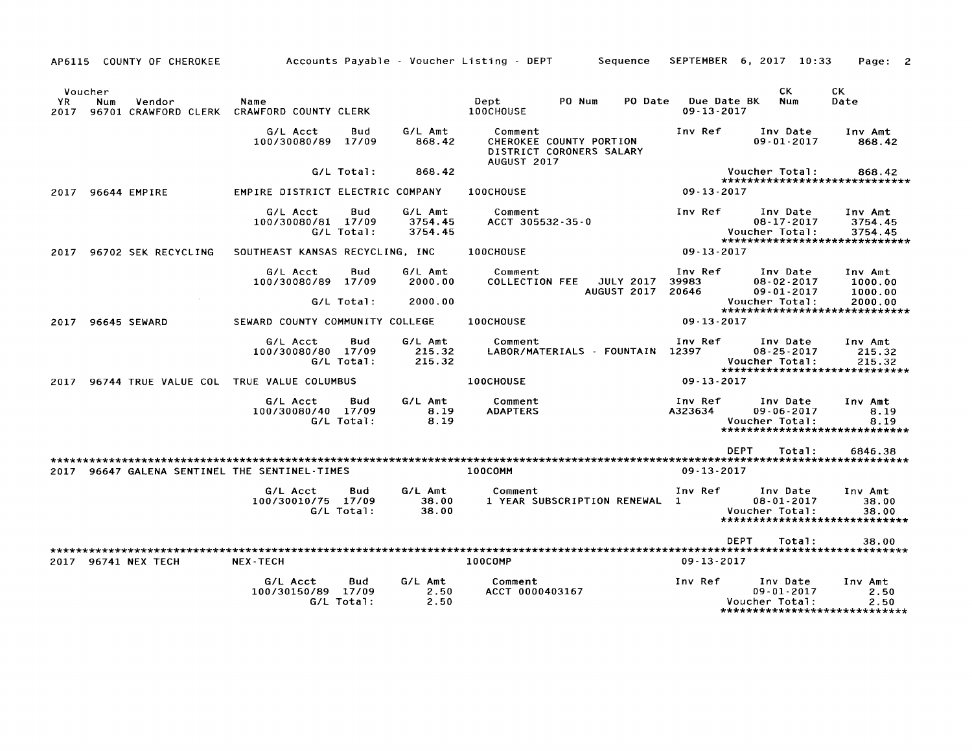|            |                | AP6115 COUNTY OF CHEROKEE |                                                    |                   |                               | Accounts Payable - Voucher Listing - DEPT<br>Sequence                         |                                 | SEPTEMBER 6, 2017 10:33                                                          | Page:                         |
|------------|----------------|---------------------------|----------------------------------------------------|-------------------|-------------------------------|-------------------------------------------------------------------------------|---------------------------------|----------------------------------------------------------------------------------|-------------------------------|
| YR<br>2017 | Voucher<br>Num | Vendor                    | Name<br>96701 CRAWFORD CLERK CRAWFORD COUNTY CLERK |                   |                               | PO Num<br>PO Date<br>Dept<br>100CHOUSE                                        | Due Date BK<br>$09 - 13 - 2017$ | CK.<br>Num                                                                       | СK<br>Date                    |
|            |                |                           | G/L Acct<br>100/30080/89                           | Bud<br>17/09      | G/L Amt<br>868.42             | Comment<br>CHEROKEE COUNTY PORTION<br>DISTRICT CORONERS SALARY<br>AUGUST 2017 | Inv Ref                         | Inv Date<br>$09 - 01 - 2017$                                                     | Inv Amt<br>868.42             |
|            |                |                           |                                                    | G/L Total:        | 868.42                        |                                                                               |                                 | Voucher Total:<br>*****************************                                  | 868.42                        |
| 2017       |                | 96644 EMPIRE              | EMPIRE DISTRICT ELECTRIC COMPANY                   |                   |                               | 100CHOUSE                                                                     | $09 - 13 - 2017$                |                                                                                  |                               |
|            |                |                           | G/L Acct<br>100/30080/81 17/09                     | Bud<br>G/L Total: | G/L Amt<br>3754.45<br>3754.45 | Comment<br>ACCT 305532-35-0                                                   | Inv Ref                         | Inv Date<br>08-17-2017<br>Voucher Total:<br>*****************************        | Inv Amt<br>3754.45<br>3754.45 |
| 2017       |                | 96702 SEK RECYCLING       | SOUTHEAST KANSAS RECYCLING, INC                    |                   |                               | 100CHOUSE                                                                     | $09 - 13 - 2017$                |                                                                                  |                               |
|            |                |                           | G/L Acct<br>100/30080/89 17/09                     | Bud               | G/L Amt<br>2000.00            | Comment<br><b>COLLECTION FEE</b><br><b>JULY 2017</b><br>AUGUST 2017           | Inv Ref<br>39983<br>20646       | Inv Date<br>$08 - 02 - 2017$<br>$09 - 01 - 2017$                                 | Inv Amt<br>1000.00<br>1000.00 |
|            |                |                           |                                                    | G/L Total:        | 2000.00                       |                                                                               |                                 | Voucher Total:<br>*****************************                                  | 2000.00                       |
| 2017       |                | 96645 SEWARD              | SEWARD COUNTY COMMUNITY COLLEGE                    |                   |                               | 100CHOUSE                                                                     | $09 - 13 - 2017$                |                                                                                  |                               |
|            |                |                           | G/L Acct<br>100/30080/80 17/09                     | Bud<br>G/L Total: | G/L Amt<br>215.32<br>215.32   | Comment<br>LABOR/MATERIALS - FOUNTAIN 12397                                   | Inv Ref                         | Inv Date<br>$08 - 25 - 2017$<br>Voucher Total:<br>****************************** | Inv Amt<br>215.32<br>215.32   |
| 2017       |                |                           | 96744 TRUE VALUE COL TRUE VALUE COLUMBUS           |                   |                               | 100CHOUSE                                                                     | 09 13 2017                      |                                                                                  |                               |
|            |                |                           | G/L Acct<br>100/30080/40 17/09                     | Bud<br>G/L Total: | G/L Amt<br>8.19<br>8.19       | Comment<br><b>ADAPTERS</b>                                                    | Inv Ref<br>A323634              | Inv Date<br>$09 - 06 - 2017$<br>Voucher Total:<br>*****************************  | Inv Amt<br>8.19<br>8.19       |
|            |                |                           |                                                    |                   |                               |                                                                               | <b>DEPT</b>                     | Total:                                                                           | 6846.38                       |
| 2017       |                |                           | 96647 GALENA SENTINEL THE SENTINEL-TIMES           |                   |                               | 100COMM                                                                       | $09 - 13 - 2017$                |                                                                                  |                               |
|            |                |                           | G/L Acct<br>100/30010/75 17/09                     | Bud<br>G/L Total: | G/L Amt<br>38.00<br>38.00     | Comment<br>1 YEAR SUBSCRIPTION RENEWAL 1                                      | Inv Ref                         | Inv Date<br>$08 - 01 - 2017$<br>Voucher Total:<br>*****************************  | Inv Amt<br>38.00<br>38.00     |
|            |                |                           |                                                    |                   |                               |                                                                               | <b>DEPT</b>                     | Total:                                                                           | 38.00                         |
|            |                | 2017 96741 NEX TECH       | <b>NEX-TECH</b>                                    |                   |                               | 100COMP                                                                       | $09 - 13 - 2017$                |                                                                                  |                               |
|            |                |                           | G/L Acct<br>100/30150/89 17/09                     | Bud<br>G/L Total: | G/L Amt<br>2.50<br>2.50       | Comment<br>ACCT 0000403167                                                    | Inv Ref                         | Inv Date<br>$09 - 01 - 2017$<br>Voucher Total:<br>*****************************  | Inv Amt<br>2.50<br>2.50       |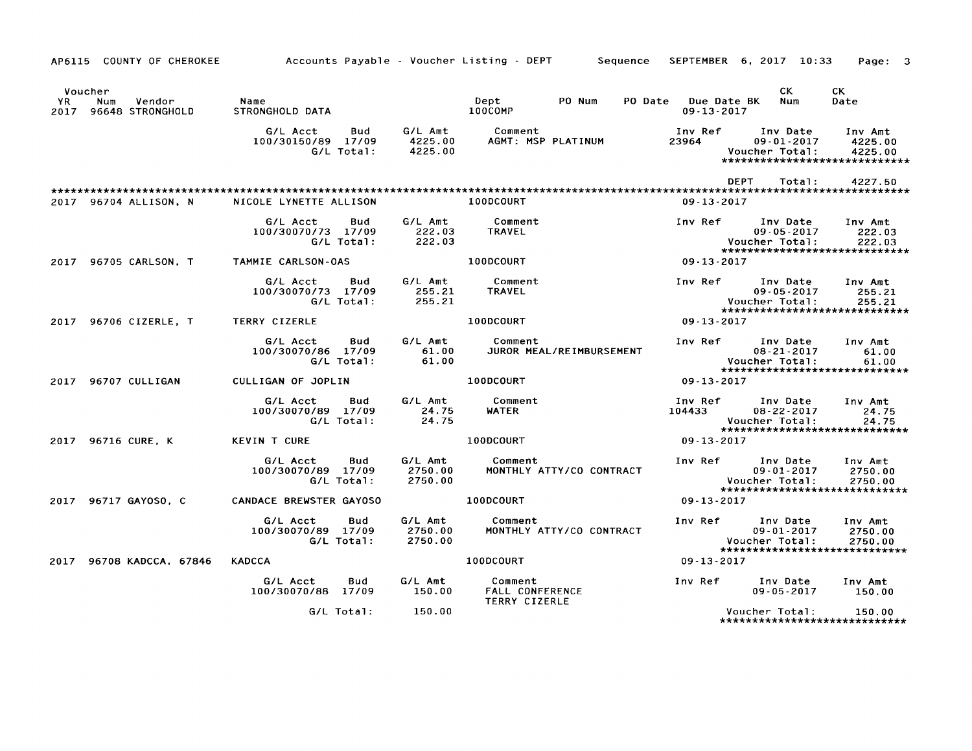|             | AP6115 COUNTY OF CHEROKEE                    | Accounts Payable - Voucher Listing - DEPT                  |                               | Sequence                                           | SEPTEMBER 6, 2017 10:33         |                                                | Page: 3                                                         |
|-------------|----------------------------------------------|------------------------------------------------------------|-------------------------------|----------------------------------------------------|---------------------------------|------------------------------------------------|-----------------------------------------------------------------|
| YR.<br>2017 | Voucher<br>Vendor<br>Num<br>96648 STRONGHOLD | Name<br>STRONGHOLD DATA                                    |                               | Dept<br>PO Num<br>PO Date<br>100COMP               | Due Date BK<br>$09 - 13 - 2017$ | CK.<br>Num                                     | CK<br>Date                                                      |
|             |                                              | G/L Acct<br>Bud<br>100/30150/89 17/09<br>G/L Total:        | G/L Amt<br>4225.00<br>4225.00 | Comment<br>AGMT: MSP PLATINUM                      | Inv Ref<br>23964                | Inv Date<br>$09 - 01 - 2017$<br>Voucher Total: | Inv Amt<br>4225.00<br>4225.00<br>*****************************  |
|             |                                              |                                                            |                               |                                                    | <b>DEPT</b>                     | Total:                                         | 4227.50                                                         |
|             | 2017 96704 ALLISON, N                        | NICOLE LYNETTE ALLISON                                     |                               | 100DCOURT                                          | $09 - 13 - 2017$                |                                                |                                                                 |
|             |                                              | G/L Acct<br>Bud<br>100/30070/73 17/09<br>G/L Total:        | G/L Amt<br>222.03<br>222.03   | Comment<br><b>TRAVEL</b>                           | Inv Ref                         | Inv Date<br>$09 - 05 - 2017$<br>Voucher Total: | Inv Amt<br>222.03<br>222.03<br>******************************   |
|             | 2017 96705 CARLSON, T                        | TAMMIE CARLSON-OAS                                         |                               | 100DCOURT                                          | $09 - 13 - 2017$                |                                                |                                                                 |
|             |                                              | G/L Acct<br><b>Bud</b><br>100/30070/73 17/09<br>G/L Total: | G/L Amt<br>255.21<br>255.21   | Comment<br>TRAVEL                                  | Inv Ref                         | Inv Date<br>$09 - 05 - 2017$<br>Voucher Total: | Inv Amt<br>255.21<br>255.21<br>*****************************    |
|             | 2017 96706 CIZERLE, T                        | TERRY CIZERLE                                              |                               | 100DCOURT                                          | $09 - 13 - 2017$                |                                                |                                                                 |
|             |                                              | Bud<br>G/L Acct<br>100/30070/86 17/09<br>G/L Total:        | G/L Amt<br>61.00<br>61.00     | Comment<br>JUROR MEAL/REIMBURSEMENT                | Inv Ref                         | Inv Date<br>$08 - 21 - 2017$<br>Voucher Total: | Inv Amt<br>61.00<br>61.00<br>*****************************      |
|             | 2017 96707 CULLIGAN                          | CULLIGAN OF JOPLIN                                         |                               | 100DCOURT                                          | $09 - 13 - 2017$                |                                                |                                                                 |
|             |                                              | G/L Acct<br>Bud<br>100/30070/89 17/09<br>G/L Total:        | G/L Amt<br>24.75<br>24.75     | Comment<br><b>WATER</b>                            | Inv Ref<br>104433               | Inv Date<br>$08 - 22 - 2017$<br>Voucher Total: | Inv Amt<br>24.75<br>24.75<br>*****************************      |
|             | 2017 96716 CURE, K                           | <b>KEVIN T CURE</b>                                        |                               | 100DCOURT                                          | 09 13 2017                      |                                                |                                                                 |
|             |                                              | G/L Acct<br>Bud<br>100/30070/89 17/09<br>G/L Total:        | G/L Amt<br>2750.00<br>2750.00 | Comment<br>MONTHLY ATTY/CO CONTRACT                | Inv Ref                         | Inv Date<br>$09 - 01 - 2017$<br>Voucher Total: | Inv Amt<br>2750.00<br>2750.00<br>****************************** |
| 2017        | 96717 GAYOSO. C                              | <b>CANDACE BREWSTER GAYOSO</b>                             |                               | 100DCOURT                                          | $09 - 13 - 2017$                |                                                |                                                                 |
|             |                                              | G/L Acct<br><b>Bud</b><br>100/30070/89 17/09<br>G/L Total: | G/L Amt<br>2750.00<br>2750.00 | Comment<br>MONTHLY ATTY/CO CONTRACT                | Inv Ref                         | Inv Date<br>$09 - 01 - 2017$<br>Voucher Total: | Inv Amt<br>2750.00<br>2750.00<br>*****************************  |
| 2017        | 96708 KADCCA, 67846                          | <b>KADCCA</b>                                              |                               | 100DCOURT                                          | $09 - 13 - 2017$                |                                                |                                                                 |
|             |                                              | G/L Acct<br>Bud<br>100/30070/88 17/09                      | G/L Amt<br>150.00             | Comment<br>FALL CONFERENCE<br><b>TERRY CIZERLE</b> | Inv Ref                         | Inv Date<br>$09 - 05 - 2017$                   | Inv Amt<br>150.00                                               |
|             |                                              | G/L Total:                                                 | 150.00                        |                                                    |                                 | Voucher Total:                                 | 150.00<br>*****************************                         |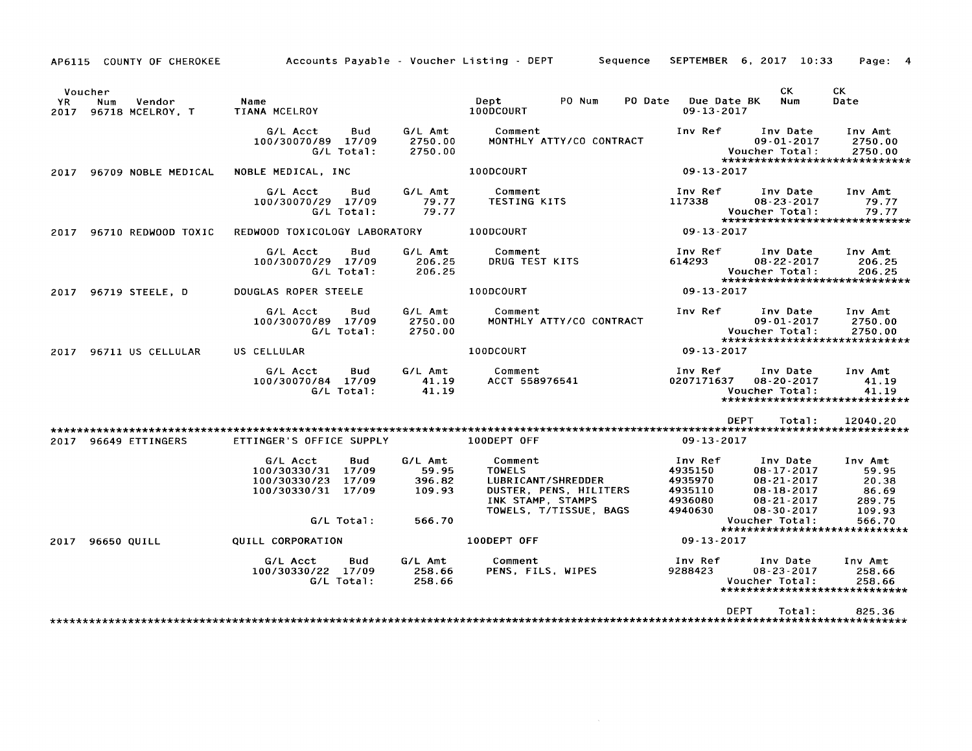AP6115 COUNTY OF CHEROKEE Voucher<br><sub>/R</sub> Num YR Num Vendor 2017 96718 MCELROY. T 2017 96709 NOBLE MEDICAL 2017 96710 REDWOOD TOXIC 2017 96719 STEELE. D 2017 96711 US CELLULAR Accounts Payable - Voucher Listing - DEPT Sequence SEPTEMBER 6, 2017 10:33 Page: 4 Name TIANA MCELROY GIL Acct Bud *100/30070/89 17/09*  GIL Total: NOBLE MEDICAL. INC GIL Acct Bud *100/30070/29 17/09*  G/L Total: GIL Amt 2750\_00 2750\_00 GIL Amt 79.77 79.77 REDWOOD TOXICOLOGY LABORATORY GIL Acct Bud *100/30070/29 17/09*  G/L Total: DOUGLAS ROPER STEELE GIL Acct Bud *100/30070/89 17/09*  G/L Total: US CELLULAR GIL Acct Bud *100/30070/84 17/09*  G/L Total: GIL Amt 206.25 206.25 GIL Amt 2750.00 2750.00 GIL Amt 41.19 41.19 Dept 100DCOURT PO Num PO Date Due Date BK 09-13-2017 CK Num CK Date Comment MONTHLY *ATTY/CO* CONTRACT 100DCOURT Comment TESTING KITS 100DCOURT Comment DRUG TEST KITS 100DCOURT Comment MONTHLY *ATTY/CO* CONTRACT 100DCOURT Comment ACCT 558976541 Inv Ref Inv Date 09-01-2017 Voucher Total: Inv Amt 2750.00 2750.00 \*\*\*\*\*\*\*\*\*\*\*\*\*\*\*\*\*\*\*\*\*\*\*\*\*\*\*\*\* 09-13-2017 Inv Ref Inv Date<br>117338 08-23-2017 08-23-2017 Voucher Total: Inv Amt 79.77 79.77 \*\*\*\*\*\*\*\*\*\*\*\*\*\*\*\*\*\*\*\*\*\*\*\*\*\*\*\*\* 09-13-2017 Inv Ref 1nv Date<br>614293 08.22.2017 08-22-2017 Voucher Total: Inv Amt 206.25 206.25 \*\*\*\*\*\*\*\*\*\*\*\*\*\*\*\*\*\*\*\*\*\*\*\*\*\*\*\*\* 09-13-2017 Inv Ref Inv Date 09-01-2017 Voucher Total: Inv Amt 2750.00 2750.00 \*\*\*\*\*\*\*\*\*\*\*\*\*\*\*\*\*\*\*\*\*\*\*\*\*\*\*\*\* 09-13-2017 Inv Ref Inv Date Inv Amt 0207171637 08-20-2017 41.19<br>Voucher Total: 41.19 Voucher Total: \*\*\*\*\*\*\*\*\*\*\*\*\*\*\*\*\*\*\*\*\*\*\*\*\*\*\*\*\* DEPT Total: 12040.20 \*\*\*\*\*\*\*\*\*\*\*\*\*\*\*\*\*\*\*\*\*\*\*\*\*\*\*\*\*\*\*\*\*\*\*\*\*\*\*\*\*\*\*\*\*\*\*\*\*\*\*\*\*\*\*\*\*\*\*\*\*\*\*\*\*\*\*\*\*\*\*\*\*\*\*\*\*\*\*\*\*\*\*\*\*\*\*\*\*\*\*\*\*\*\*\*\*\*\*\*\*\*\*\*\*\*\*\*\*\*\*\*\*\*\*\*\*\*\*\*\*\*\*\*\*\*\*\*\*\*\*\* 2017 96649 ETTINGERS ETTINGER'S OFFICE SUPPLY 100DEPT OFF 09-13-2017 G/L Acct Bud G/L Amt<br>00/30330/31 17/09 59.95 *100/30330/31 17/09* 59.95 *100/30330/23 17/09* 396.82 *100/30330/31 17/09* 109.93 GIL Total: 566.70 2017 96650 QUILL QUILL CORPORATION G/L Acct Bud G/L Amt<br>00/30330/22 17/09 258.66 *100/30330/22 17109* 258.66 G/L Total: Comment TOWELS LUBRICANT/SHREDDER DUSTER. PENS. HILITERS INK STAMP. STAMPS TOWELS. T/TISSUE. BAGS 100DEPT OFF Comment PENS. FILS. WIPES Inv Ref 4935150 4935970 4935110 4936080 4940630 Inv Date Inv Amt 08-17-2017 59.95<br>08-21-2017 20.38 08-21-2017 20.38<br>08-18-2017 86.69 08-18-2017 86.69<br>08-21-2017 289.75 08-21-2017 289.75<br>08-30-2017 109.93 08-30-2017 109.93 Voucher Total: \*\*\*\*\*\*\*\*\*\*\*\*\*\*\*\*\*\*\*\*\*\*\*\*\*\*\*\*\* 09-13-2017 Inv Ref Inv Date 08-23-2017 Voucher Total: Inv Amt 258.66 258.66 \*\*\*\*\*\*\*\*\*\*\*\*\*\*\*\*\*\*\*\*\*\*\*\*\*\*\*\*\*\*\*\* DEPT Total: 825.36 \*\*\*\*\*\*\*\*\*\*\*\*\*\*\*\*\*\*\*\*\*\*\*\*\*\*\*\*\*\*\*\*\*\*\*\*\*\*\*\*\*\*\*\*\*\*\*\*\*\*\*\*\*\*\*\*\*\*\*\*\*\*\*\*\*\*\*\*\*\*\*\*\*\*\*\*\*\*\*\*\*\*\*\*\*\*\*\*\*\*\*\*\*\*\*\*\*\*\*\*\*\*\*\*\*\*\*\*\*\*\*\*\*\*\*\*\*\*\*\*\*\*\*\*\*\*\*\*\*\*\*\*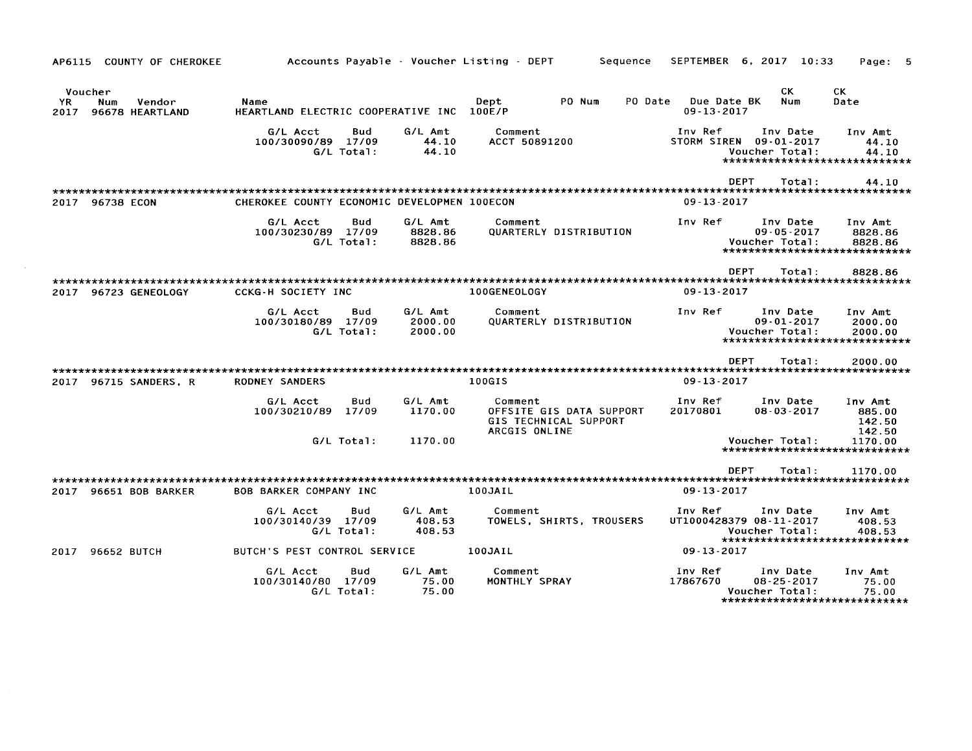| AP6115                | COUNTY OF CHEROKEE               |                                                   |                   |                               | Accounts Payable - Voucher Listing - DEPT                                     | Sequence |                                 | SEPTEMBER 6, 2017 10:33                                                                | Page:                                 |
|-----------------------|----------------------------------|---------------------------------------------------|-------------------|-------------------------------|-------------------------------------------------------------------------------|----------|---------------------------------|----------------------------------------------------------------------------------------|---------------------------------------|
| Voucher<br>YR<br>2017 | Vendor<br>Num<br>96678 HEARTLAND | Name<br>HEARTLAND ELECTRIC COOPERATIVE INC 100E/P |                   |                               | PO Num<br>Dept                                                                | PO Date  | Due Date BK<br>$09 - 13 - 2017$ | CK.<br>Num                                                                             | <b>CK</b><br>Date                     |
|                       |                                  | G/L Acct<br>100/30090/89 17/09                    | Bud<br>G/L Total: | G/L Amt<br>44.10<br>44.10     | Comment<br>ACCT 50891200                                                      |          | Inv Ref<br>STORM SIREN          | Inv Date<br>$09 - 01 - 2017$<br>Voucher Total:<br>******************************       | Inv Amt<br>44.10<br>44.10             |
|                       |                                  |                                                   |                   |                               |                                                                               |          | <b>DEPT</b>                     | Total:                                                                                 | 44.10                                 |
|                       | 2017 96738 ECON                  | CHEROKEE COUNTY ECONOMIC DEVELOPMEN 100ECON       |                   |                               |                                                                               |          | $09 - 13 - 2017$                | **************************                                                             |                                       |
|                       |                                  | G/L Acct<br>100/30230/89 17/09                    | Bud<br>G/L Total: | G/L Amt<br>8828.86<br>8828.86 | Comment<br>QUARTERLY DISTRIBUTION                                             |          | Inv Ref                         | Inv Date<br>$09 - 05 - 2017$<br>Voucher Total:<br>*****************************        | Inv Amt<br>8828.86<br>8828.86         |
|                       |                                  |                                                   |                   |                               |                                                                               |          | <b>DEPT</b>                     | Total:                                                                                 | 8828.86                               |
|                       | 2017 96723 GENEOLOGY             | <b>CCKG-H SOCIETY INC</b>                         |                   |                               | 100GENEOLOGY                                                                  |          | $09 - 13 - 2017$                |                                                                                        |                                       |
|                       |                                  | G/L Acct<br>100/30180/89 17/09                    | Bud<br>G/L Total: | G/L Amt<br>2000.00<br>2000.00 | Comment<br>QUARTERLY DISTRIBUTION                                             |          | Inv Ref                         | Inv Date<br>$09 - 01 - 2017$<br>Voucher Total:<br>*****************************        | Inv Amt<br>2000.00<br>2000.00         |
|                       |                                  |                                                   |                   |                               |                                                                               |          | <b>DEPT</b>                     | Total:                                                                                 | 2000.00                               |
|                       | 2017 96715 SANDERS, R            | RODNEY SANDERS                                    |                   |                               | 100GIS                                                                        |          | 09-13-2017                      |                                                                                        |                                       |
|                       |                                  | G/L Acct<br>100/30210/89 17/09                    | Bud               | G/L Amt<br>1170.00            | Comment<br>OFFSITE GIS DATA SUPPORT<br>GIS TECHNICAL SUPPORT<br>ARCGIS ONLINE |          | Inv Ref<br>20170801             | Inv Date<br>$08 - 03 - 2017$                                                           | Inv Amt<br>885.00<br>142.50<br>142.50 |
|                       |                                  |                                                   | G/L Total:        | 1170.00                       |                                                                               |          |                                 | Voucher Total:<br>*****************************                                        | 1170.00                               |
|                       |                                  |                                                   |                   |                               |                                                                               |          | DEPT                            | Total:                                                                                 | 1170.00                               |
| 2017                  | 96651 BOB BARKER                 | BOB BARKER COMPANY INC                            |                   |                               | 100JAIL                                                                       |          | $09 - 13 - 2017$                |                                                                                        |                                       |
|                       |                                  | G/L Acct<br>100/30140/39 17/09                    | Bud<br>G/L Total: | G/L Amt<br>408.53<br>408.53   | Comment<br>TOWELS, SHIRTS, TROUSERS                                           |          | Inv Ref                         | Inv Date<br>UT1000428379 08-11-2017<br>Voucher Total:<br>***************************** | Inv Amt<br>408.53<br>408.53           |
|                       | 2017 96652 BUTCH                 | BUTCH'S PEST CONTROL SERVICE                      |                   |                               | 100JAIL                                                                       |          | $09 - 13 - 2017$                |                                                                                        |                                       |
|                       |                                  | G/L Acct<br>100/30140/80 17/09                    | Bud<br>G/L Total: | G/L Amt<br>75.00<br>75.00     | Comment<br>MONTHLY SPRAY                                                      |          | Inv Ref<br>17867670             | Inv Date<br>$08 - 25 - 2017$<br>Voucher Total:<br>*****************************        | Inv Amt<br>75.00<br>75.00             |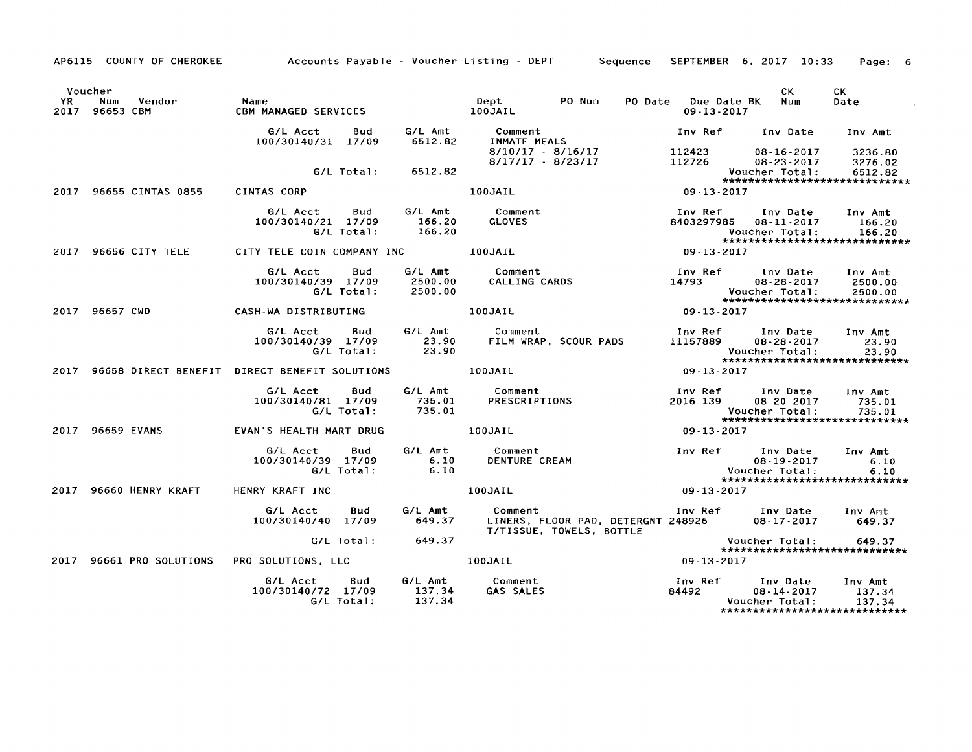Voucher<br>YR Nu Num Vendor 2017 96653 CBM 2017 96655 CINTAS 0855 2017 96656 CITY TELE 2017 96657 CWD Name CBM MANAGED SERVICES GIL Acct Bud *100/30140/31 17109*  GIL Total: CINTAS CORP GIL Acct Bud *100/30140/21 17109*  GIL Total: CITY TELE COIN COMPANY INC GIL Acct Bud *100/30140/39 17109*  GIL Total: CASH-WA DISTRIBUTING GIL Acct Bud *100/30140/39 17109*  G/L Total: GIL Amt 6512.82 6512.82 GIL Amt 166.20 166.20 GIL Amt 2500.00 2500.00 GIL Amt 23.90 23.90 Dept PO Num 100JAIL Comment INMATE MEALS *8110/17 8/16117*  8117117 - *8/23117*  100JAIL Comment GLOVES 100JAIL Comment CALLING CARDS 100JAIL Comment FILM WRAP, SCOUR PADS PO Date Due Date BK 09-13-2017 CK Num Inv Ref lnv Date 112423 08-16-2017<br>112726 08-23-2017 08-23-2017 Voucher Total: CK Date Inv Amt 3236.80 3276.02 6512.82 \*\*\*\*\*\*\*\*\*\*\*\*\*\*\*\*\*\*\*\*\*\*\*\*\*\*\*\*\* 09-13-2017 Inv Ref Inv Date 8403297985 08-11-2017 Voucher Total: Inv Amt 166.20 166.20 \*\*\*\*\*\*\*\*\*\*\*\*\*\*\*\*\*\*\*\*\*\*\*\*\*\*\*\*\* 09-13-2017 Inv Ref lnv Date Inv Amt 08-28-2017 2500.00<br>
ther Total: 2500.00 Voucher Total: \*\*\*\*\*\*\*\*\*\*\*\*\*\*\*\*\*\*\*\*\*\*\*\*\*\*\*\*\*\*\*\*\*\* 09-13-2017 Inv Ref Inv Date<br>11157889 08-28-2017 08-28-2017 Voucher Total: Inv Amt 23.90 23.90 2017 96658 DIRECT BENEFIT DIRECT BENEFIT SOLUTIONS 100JAIL \*\*\*\*\*\*\*\*\*\*\*\*\*\*\*\*\*\*\*\*\*\*\*\*\*\*\*\*\* 09-13-2017 2017 96659 EVANS 2017 96660 HENRY KRAFT 2017 96661 PRO SOLUTIONS GIL Acct Bud *100/30140/81 17109*  GIL Total: EVAN·S HEALTH MART DRUG GIL Acct Bud *100/30140/39 17109*  GIL Total: HENRY KRAFT INC GIL Acct Bud *100/30140/40 17109*  G/L Total: PRO SOLUTIONS, LLC GIL Acct Bud *100/30140/72 17109*  G/L Total: G/L Amt Comment<br>735.01 PRESCRIPT PRESCRIPTIONS 735.01 100JAIL G/L Amt Comment<br>6.10 DENTURE C DENTURE CREAM 6.10 100JAIL Inv Ref Inv Date Inv Amt 08-20-2017 735.01<br>
2015 735.01 Voucher Total: \*\*\*\*\*\*\*\*\*\*\*\*\*\*\*\*\*\*\*\*\*\*\*\*\*\*\*\*\* 09-13-2017 Inv Ref Inv Date Inv Amt 08-19-2017 6.10<br>her Total: 6.10 Voucher Total: \*\*\*\*\*\*\*\*\*\*\*\*\*\*\*\*\*\*\*\*\*\*\*\*\*\*\*\*\* 09-13-2017 GIL Amt 649.37 Comment Inv Ref Inv Date 08-17-2017 Inv Amt 649.37 649.37 GIL Amt 137.34 137.34 LINERS, FLOOR PAD, DETERGNT 248926 TITISSUE, TOWELS, BOTTLE 100JAIL Comment GAS SALES Voucher Total: 649.37 \*\*\*\*\*\*\*\*\*\*\*\*\*\*\*\*\*\*\*\*\*\*\*\*\*\*\*\*\* 09-13-2017 Inv Ref Inv Date Inv Amt<br>84492 08-14-2017 137.34 08-14-2017 137.34<br>
ther Total: 137.34 Voucher Total: \*\*\*\*\*\*\*\*\*\*\*\*\*\*\*\*\*\*\*\*\*\*\*\*\*\*\*\*\*

Accounts Payable - Voucher Listing - DEPT Sequence SEPTEMBER 6, 2017 10:33 Page: 6

AP6115 COUNTY OF CHEROKEE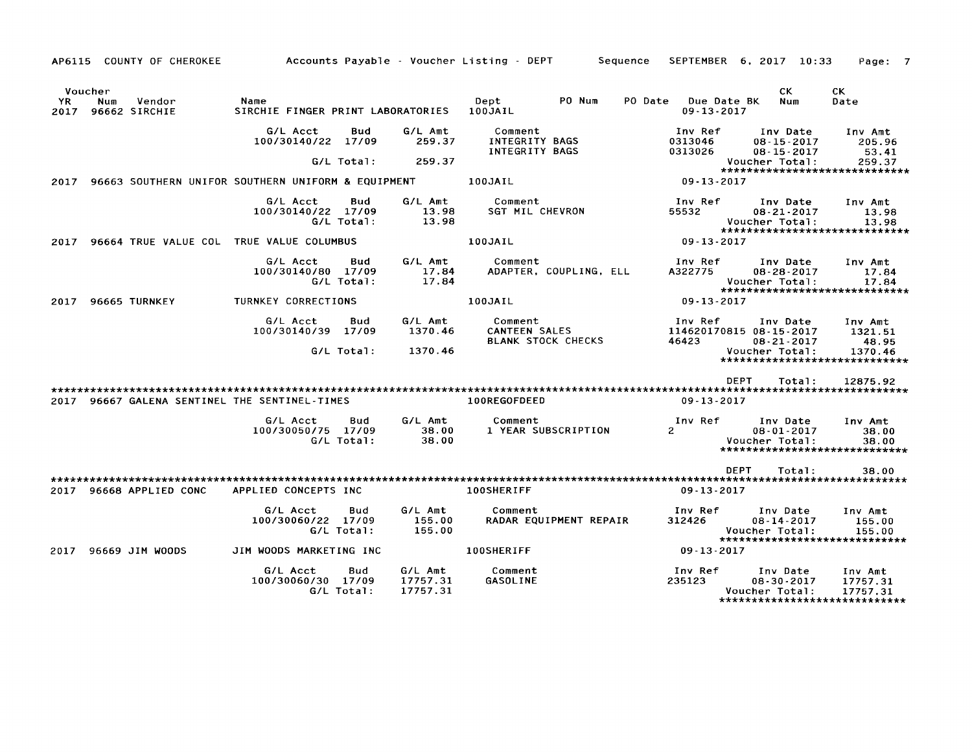|                        | AP6115 COUNTY OF CHEROKEE                     |                                                     |                                 | Accounts Payable - Voucher Listing - DEPT<br>Sequence        | SEPTEMBER 6, 2017 10:33                                                                                                                   | Page: 7 |
|------------------------|-----------------------------------------------|-----------------------------------------------------|---------------------------------|--------------------------------------------------------------|-------------------------------------------------------------------------------------------------------------------------------------------|---------|
| Voucher<br>YR.<br>2017 | Vendor<br>Num<br>96662 SIRCHIE                | Name<br>SIRCHIE FINGER PRINT LABORATORIES 100JAIL   |                                 | PO Num<br>Dept                                               | CK.<br>CK.<br>Due Date BK<br>PO Date<br>Num<br>Date<br>$09 - 13 - 2017$                                                                   |         |
|                        |                                               | G/L Acct<br><b>Bud</b><br>100/30140/22 17/09        | G/L Amt<br>259.37               | Comment<br>INTEGRITY BAGS<br>INTEGRITY BAGS                  | Inv Ref<br>Inv Date<br>Inv Amt<br>0313046<br>$08 - 15 - 2017$<br>205.96<br>0313026<br>$08 - 15 - 2017$<br>53.41                           |         |
|                        |                                               | G/L Total:                                          | 259.37                          |                                                              | Voucher Total:<br>259.37<br>*****************************                                                                                 |         |
| 2017                   |                                               | 96663 SOUTHERN UNIFOR SOUTHERN UNIFORM & EQUIPMENT  |                                 | 100JAIL                                                      | $09 - 13 - 2017$                                                                                                                          |         |
|                        |                                               | G/L Acct<br>Bud<br>100/30140/22 17/09<br>G/L Total: | G/L Amt<br>13.98<br>13.98       | Comment<br><b>SGT MIL CHEVRON</b>                            | Inv Ref<br>Inv Date<br>Inv Amt<br>55532<br>$08 - 21 - 2017$<br>13.98<br>Voucher Total:<br>13.98<br>*****************************          |         |
| 2017                   |                                               | 96664 TRUE VALUE COL TRUE VALUE COLUMBUS            |                                 | 100JAIL                                                      | $09 - 13 - 2017$                                                                                                                          |         |
|                        |                                               | G/L Acct<br>Bud<br>100/30140/80 17/09<br>G/L Total: | G/L Amt<br>17.84<br>17.84       | Comment<br>ADAPTER, COUPLING, ELL                            | Inv Ref<br>Inv Date<br>Inv Amt<br>A322775<br>$08 - 28 - 2017$<br>17.84<br>Voucher Total:<br>17.84<br>******************************       |         |
| 2017                   | 96665 TURNKEY                                 | <b>TURNKEY CORRECTIONS</b>                          |                                 | 100JAIL                                                      | $09 - 13 - 2017$                                                                                                                          |         |
|                        |                                               | G/L Acct<br>Bud<br>100/30140/39 17/09               | G/L Amt<br>1370.46              | Comment<br><b>CANTEEN SALES</b><br><b>BLANK STOCK CHECKS</b> | Inv Ref<br>Inv Date<br>Inv Amt<br>114620170815 08-15-2017<br>1321.51<br>46423<br>$08 - 21 - 2017$<br>48.95                                |         |
|                        |                                               | G/L Total:                                          | 1370.46                         |                                                              | Voucher Total:<br>1370.46<br>******************************                                                                               |         |
|                        |                                               |                                                     |                                 |                                                              | <b>DEPT</b><br>Total:<br>12875.92                                                                                                         |         |
|                        | 2017 96667 GALENA SENTINEL THE SENTINEL-TIMES |                                                     |                                 | 100REGOFDEED                                                 | $09 - 13 - 2017$                                                                                                                          |         |
|                        |                                               | G/L Acct<br>Bud<br>100/30050/75 17/09<br>G/L Total: | G/L Amt<br>38.00<br>38.00       | Comment<br>1 YEAR SUBSCRIPTION                               | Inv Ref<br>Inv Date<br>Inv Amt<br>$\overline{2}$<br>$08 - 01 - 2017$<br>38.00<br>Voucher Total:<br>38.00<br>***************************** |         |
|                        |                                               |                                                     |                                 |                                                              | <b>DEPT</b><br>Total:<br>38.00                                                                                                            |         |
|                        | 2017 96668 APPLIED CONC                       | APPLIED CONCEPTS INC                                |                                 | 100SHERIFF                                                   | $09 - 13 - 2017$                                                                                                                          |         |
|                        |                                               | G/L Acct<br>Bud<br>100/30060/22 17/09<br>G/L Total: | G/L Amt<br>155.00<br>155.00     | Comment<br>RADAR EQUIPMENT REPAIR                            | Inv Ref<br>Inv Date<br>Inv Amt<br>312426<br>$08 - 14 - 2017$<br>155.00<br>Voucher Total:<br>155.00<br>*****************************       |         |
| 2017                   | 96669 JIM WOODS                               | JIM WOODS MARKETING INC                             |                                 | 100SHERIFF                                                   | $09 - 13 - 2017$                                                                                                                          |         |
|                        |                                               | G/L Acct<br>Bud<br>100/30060/30 17/09<br>G/L Total: | G/L Amt<br>17757.31<br>17757.31 | Comment<br><b>GASOLINE</b>                                   | Inv Ref<br>Inv Date<br>Inv Amt<br>235123<br>$08 - 30 - 2017$<br>17757.31<br>Voucher Total:<br>17757.31<br>*****************************   |         |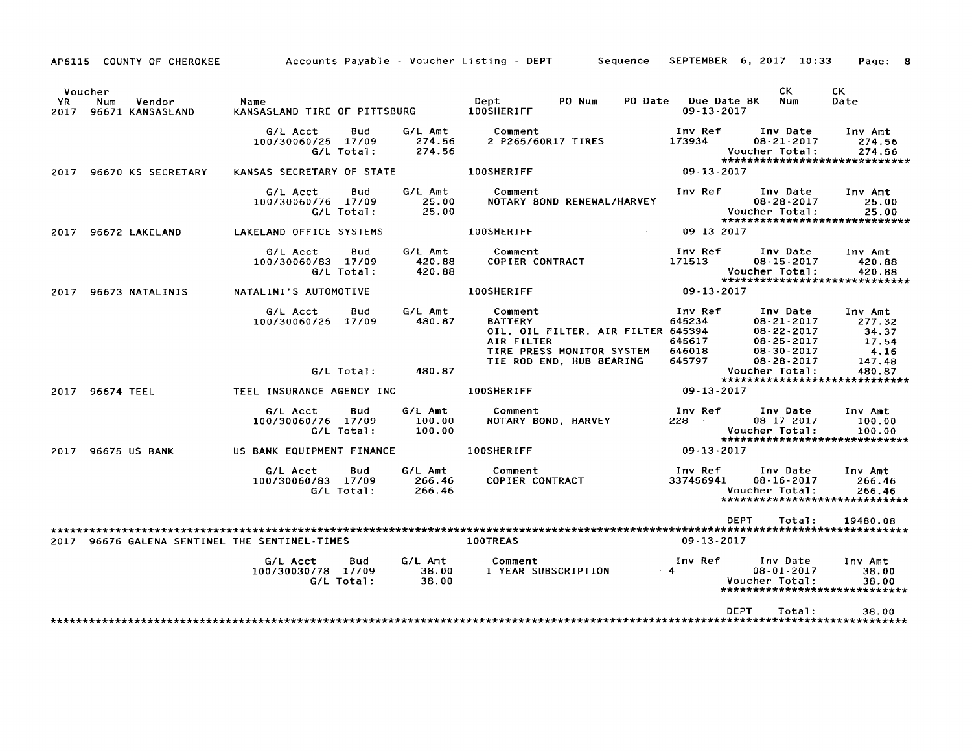AP6115 COUNTY OF CHEROKEE Accounts Payable - Voucher Listing - DEPT Sequence SEPTEMBER 6, 2017 10:33 Page: 8

|             | Voucher         |                            |                                               |                          |                             |                                         |                                                                                             |           |                                                 | CK.                                                                                                    | CK.                                                   |
|-------------|-----------------|----------------------------|-----------------------------------------------|--------------------------|-----------------------------|-----------------------------------------|---------------------------------------------------------------------------------------------|-----------|-------------------------------------------------|--------------------------------------------------------------------------------------------------------|-------------------------------------------------------|
| YR.<br>2017 | Num             | Vendor<br>96671 KANSASLAND | Name<br>KANSASLAND TIRE OF PITTSBURG          |                          |                             | Dept<br>100SHERIFF                      | PO Num                                                                                      | PO Date   | Due Date BK<br>09-13-2017                       | Num                                                                                                    | Date                                                  |
|             |                 |                            | G/L Acct<br>100/30060/25 17/09                | Bud<br>G/L Total:        | G/L Amt<br>274.56<br>274.56 | Comment<br>2 P265/60R17 TIRES           |                                                                                             |           | Inv Ref<br>173934                               | Inv Date<br>08-21-2017<br>Voucher Total:<br>*****************************                              | Inv Amt<br>274.56<br>274.56                           |
|             |                 | 2017 96670 KS SECRETARY    | KANSAS SECRETARY OF STATE                     |                          |                             | 100SHERIFF                              |                                                                                             |           | $09 - 13 - 2017$                                |                                                                                                        |                                                       |
|             |                 |                            | G/L Acct<br>100/30060/76 17/09                | Bud<br>G/L Total:        | G/L Amt<br>25.00<br>25.00   | Comment                                 | NOTARY BOND RENEWAL/HARVEY                                                                  |           | Inv Ref                                         | Inv Date<br>$08 - 28 - 2017$<br>Voucher Total:<br>******************************                       | Inv Amt<br>25.00<br>25.00                             |
| 2017        |                 | 96672 LAKELAND             | LAKELAND OFFICE SYSTEMS                       |                          |                             | <b>100SHERIFF</b>                       |                                                                                             |           | 09-13-2017                                      |                                                                                                        |                                                       |
|             |                 |                            | G/L Acct<br>100/30060/83 17/09                | Bud<br>G/L Total:        | G/L Amt<br>420.88<br>420.88 | Comment<br>COPIER CONTRACT              |                                                                                             |           | Inv Ref<br>171513                               | Inv Date<br>$08 - 15 - 2017$<br>Voucher Total:<br>******************************                       | Inv Amt<br>420.88<br>420.88                           |
|             |                 | 2017 96673 NATALINIS       | NATALINI'S AUTOMOTIVE                         |                          |                             | 100SHERIFF                              |                                                                                             |           | 09 - 13 - 2017                                  |                                                                                                        |                                                       |
|             |                 |                            | G/L Acct<br>100/30060/25 17/09                | Bud                      | G/L Amt<br>480.87           | Comment<br><b>BATTERY</b><br>AIR FILTER | OIL, OIL FILTER, AIR FILTER 645394<br>TIRE PRESS MONITOR SYSTEM<br>TIE ROD END, HUB BEARING |           | Inv Ref<br>645234<br>645617<br>646018<br>645797 | Inv Date<br>$08 - 21 - 2017$<br>$08 - 22 - 2017$<br>08-25-2017<br>$08 - 30 - 2017$<br>$08 - 28 - 2017$ | Inv Amt<br>277.32<br>34.37<br>17.54<br>4.16<br>147.48 |
|             |                 |                            |                                               | G/L Total:               | 480.87                      |                                         |                                                                                             |           |                                                 | Voucher Total:<br>*****************************                                                        | 480.87                                                |
|             | 2017 96674 TEEL |                            | TEEL INSURANCE AGENCY INC                     |                          |                             | 100SHERIFF                              |                                                                                             |           | $09 - 13 - 2017$                                |                                                                                                        |                                                       |
|             |                 |                            | G/L Acct<br>100/30060/76 17/09                | <b>Bud</b><br>G/L Total: | G/L Amt<br>100.00<br>100.00 | Comment                                 | NOTARY BOND, HARVEY                                                                         |           | Inv Ref<br>228                                  | Inv Date<br>08-17-2017<br>Voucher Total:<br>*****************************                              | Inv Amt<br>100.00<br>100.00                           |
| 2017        |                 | <b>96675 US BANK</b>       | US BANK EQUIPMENT FINANCE                     |                          |                             | <b>100SHERIFF</b>                       |                                                                                             |           | 09-13-2017                                      |                                                                                                        |                                                       |
|             |                 |                            | G/L Acct<br>100/30060/83 17/09                | Bud<br>G/L Total:        | G/L Amt<br>266.46<br>266.46 | Comment<br><b>COPIER CONTRACT</b>       |                                                                                             |           | Inv Ref<br>337456941                            | Inv Date<br>$08 - 16 - 2017$<br>Voucher Total:<br>******************************                       | Inv Amt<br>266.46<br>266.46                           |
|             |                 |                            | 2017 96676 GALENA SENTINEL THE SENTINEL-TIMES |                          |                             | 100TREAS                                |                                                                                             |           | $09 - 13 - 2017$                                | DEPT<br>Total:                                                                                         | 19480.08                                              |
|             |                 |                            | G/L Acct<br>100/30030/78 17/09                | Bud<br>$G/L$ Total:      | G/L Amt<br>38.00<br>38.00   | Comment                                 | 1 YEAR SUBSCRIPTION                                                                         | $\cdot$ 4 | Inv Ref                                         | Inv Date<br>$08 - 01 - 2017$<br>Voucher Total:<br>*****************************                        | Inv Amt<br>38.00<br>38.00                             |
|             |                 |                            |                                               |                          |                             |                                         |                                                                                             |           |                                                 | DEPT<br>Total:                                                                                         | 38.00                                                 |
|             |                 |                            |                                               |                          |                             |                                         |                                                                                             |           |                                                 |                                                                                                        |                                                       |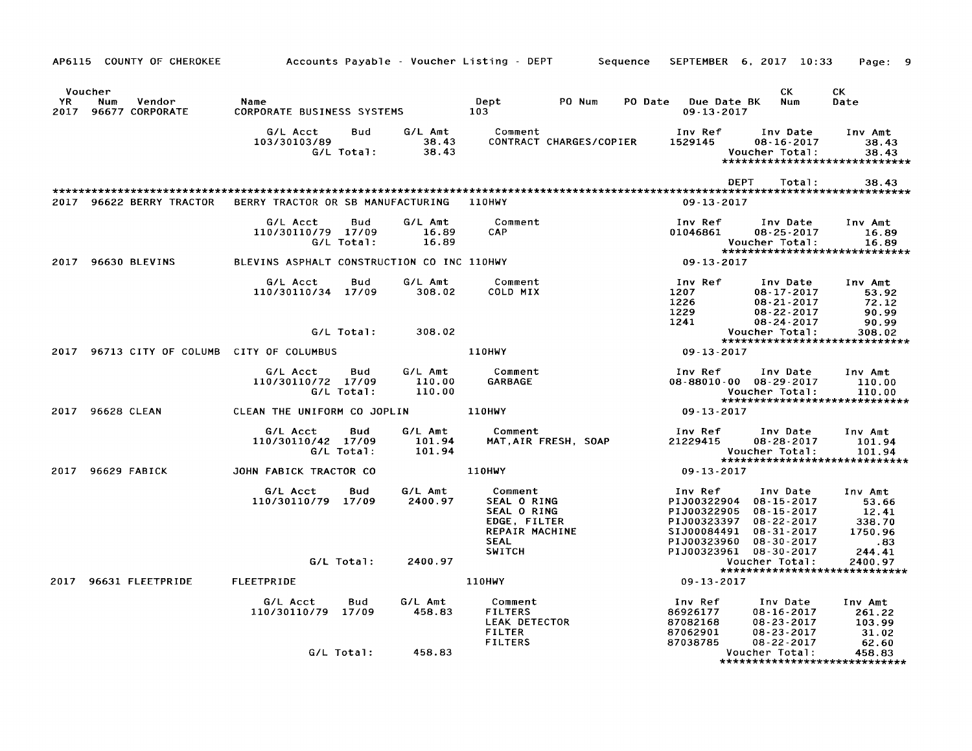| AP6115 COUNTY OF CHEROKEE                                  | Accounts Payable – Voucher Listing – DEPT                  |                             | Sequence                                                                               | SEPTEMBER 6, 2017 10:33                                                                                                                                                                | Page: 9                                                                        |
|------------------------------------------------------------|------------------------------------------------------------|-----------------------------|----------------------------------------------------------------------------------------|----------------------------------------------------------------------------------------------------------------------------------------------------------------------------------------|--------------------------------------------------------------------------------|
| Voucher<br>YR.<br>Num<br>Vendor<br>96677 CORPORATE<br>2017 | Name<br>CORPORATE BUSINESS SYSTEMS                         |                             | Dept<br>PO Num<br>103                                                                  | СK<br>PO Date<br>Due Date BK<br>Num<br>$09 - 13 - 2017$                                                                                                                                | СK<br>Date                                                                     |
|                                                            | G/L Acct<br>Bud<br>103/30103/89<br>G/L Total:              | G/L Amt<br>38.43<br>38.43   | Comment<br>CONTRACT CHARGES/COPIER                                                     | Inv Ref<br>Inv Date<br>1529145<br>$08 - 16 - 2017$<br>Voucher Total:                                                                                                                   | Inv Amt<br>38.43<br>38.43<br>******************************                    |
|                                                            |                                                            |                             |                                                                                        | DEPT<br>Total:                                                                                                                                                                         | 38.43                                                                          |
| 2017 96622 BERRY TRACTOR                                   | BERRY TRACTOR OR SB MANUFACTURING                          |                             | <b>110HWY</b>                                                                          | $09 - 13 - 2017$                                                                                                                                                                       |                                                                                |
|                                                            | G/L Acct<br>Bud<br>110/30110/79 17/09<br>G/L Total:        | G/L Amt<br>16.89<br>16.89   | Comment<br>CAP.                                                                        | Inv Ref<br>Inv Date<br>01046861<br>$08 - 25 - 2017$<br>Voucher Total:                                                                                                                  | Inv Amt<br>16.89<br>16.89<br>******************************                    |
| 2017 96630 BLEVINS                                         | BLEVINS ASPHALT CONSTRUCTION CO INC 110HWY                 |                             |                                                                                        | $09 - 13 - 2017$                                                                                                                                                                       |                                                                                |
|                                                            | G/L Acct<br>Bud<br>110/30110/34 17/09                      | G/L Amt<br>308.02           | Comment<br>COLD MIX                                                                    | Inv Ref<br>Inv Date<br>1207<br>08-17-2017<br>1226<br>$08 - 21 - 2017$<br>1229<br>$08 - 22 - 2017$<br>1241<br>$08 - 24 - 2017$                                                          | Inv Amt<br>53.92<br>72.12<br>90.99<br>90.99                                    |
|                                                            | G/L Total:                                                 | 308.02                      |                                                                                        | Voucher Total:                                                                                                                                                                         | 308.02<br>*****************************                                        |
| 2017 96713 CITY OF COLUMB CITY OF COLUMBUS                 |                                                            |                             | <b>110HWY</b>                                                                          | 09-13-2017                                                                                                                                                                             |                                                                                |
|                                                            | <b>Bud</b><br>G/L Acct<br>110/30110/72 17/09<br>G/L Total: | G/L Amt<br>110.00<br>110.00 | Comment<br><b>GARBAGE</b>                                                              | Inv Ref<br>Inv Date<br>08-88010-00 08-29-2017<br>Voucher Total:                                                                                                                        | Inv Amt<br>110.00<br>110.00<br>******************************                  |
| 2017 96628 CLEAN                                           | CLEAN THE UNIFORM CO JOPLIN                                |                             | <b>110HWY</b>                                                                          | 09-13-2017                                                                                                                                                                             |                                                                                |
|                                                            | G/L Acct<br>Bud<br>110/30110/42 17/09<br>G/L Total:        | G/L Amt<br>101.94<br>101.94 | Comment<br>MAT, AIR FRESH, SOAP                                                        | Inv Ref<br>Inv Date<br>21229415<br>$08 - 28 - 2017$<br>Voucher Total:                                                                                                                  | Inv Amt<br>101.94<br>101.94<br>*****************************                   |
| 2017 96629 FABICK                                          | JOHN FABICK TRACTOR CO                                     |                             | 110HWY                                                                                 | 09-13-2017                                                                                                                                                                             |                                                                                |
|                                                            | G/L Acct<br>Bud<br>110/30110/79 17/09                      | G/L Amt<br>2400.97          | Comment<br>SEAL O RING<br>SEAL O RING<br>EDGE, FILTER<br>REPAIR MACHINE<br><b>SEAL</b> | Inv Ref<br>Inv Date<br>PIJ00322904<br>$08 - 15 - 2017$<br>PIJ00322905<br>08-15-2017<br>PIJ00323397<br>$08 - 22 - 2017$<br>SIJ00084491<br>08-31-2017<br>PIJ00323960<br>$08 - 30 - 2017$ | Inv Amt<br>53.66<br>12.41<br>338.70<br>1750.96<br>$\overline{\phantom{0}}$ .83 |
|                                                            | G/L Total:                                                 | 2400.97                     | <b>SWITCH</b>                                                                          | PIJ00323961 08-30-2017<br>Voucher Total:                                                                                                                                               | 244.41<br>2400.97                                                              |
| 96631 FLEETPRIDE<br>2017                                   | <b>FLEETPRIDE</b>                                          |                             | <b>110HWY</b>                                                                          | 09-13-2017                                                                                                                                                                             | *****************************                                                  |
|                                                            | G/L Acct<br>Bud<br>110/30110/79 17/09                      | G/L Amt<br>458.83           | Comment<br><b>FILTERS</b><br>LEAK DETECTOR<br><b>FILTER</b><br><b>FILTERS</b>          | Inv Ref<br>Inv Date<br>86926177<br>$08 - 16 - 2017$<br>87082168<br>$08 - 23 - 2017$<br>87062901<br>$08 - 23 - 2017$<br>87038785<br>$08 - 22 - 2017$                                    | Inv Amt<br>261.22<br>103.99<br>31.02<br>62.60                                  |
|                                                            | G/L Total:                                                 | 458.83                      |                                                                                        | Voucher Total:                                                                                                                                                                         | 458.83<br>*****************************                                        |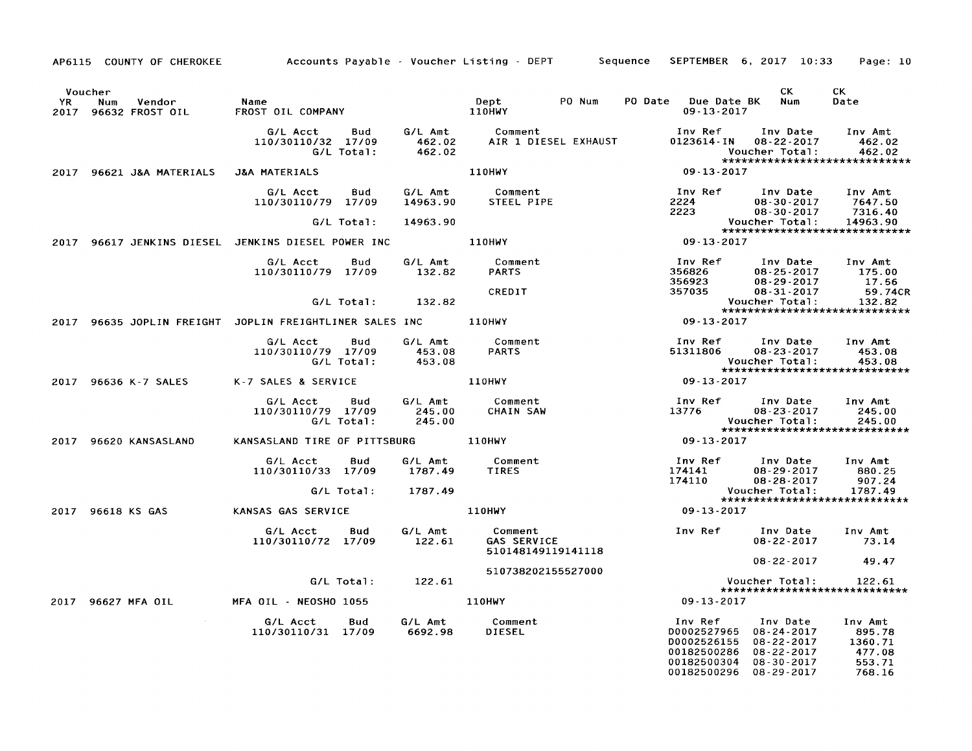| YR<br>2017 | Voucher<br>Vendor<br>Num<br>96632 FROST OIL | Name<br>FROST OIL COMPANY                               |                             | PO Num<br>Dept<br>110HWY                            | PO Date<br>Due Date BK<br>$09 - 13 - 2017$                                         | CK.<br>Num                                                                                                   | CK<br>Date                                                 |
|------------|---------------------------------------------|---------------------------------------------------------|-----------------------------|-----------------------------------------------------|------------------------------------------------------------------------------------|--------------------------------------------------------------------------------------------------------------|------------------------------------------------------------|
|            |                                             | G/L Acct<br>Bud<br>110/30110/32 17/09<br>G/L Total:     | G/L Amt<br>462.02<br>462.02 | Comment<br>AIR 1 DIESEL EXHAUST                     | Inv Ref<br>0123614-IN                                                              | Inv Date<br>$08 - 22 - 2017$<br>Voucher Total:                                                               | Inv Amt<br>462.02<br>462.02                                |
| 2017       | 96621 J&A MATERIALS                         | <b>J&amp;A MATERIALS</b>                                |                             | <b>110HWY</b>                                       | $09 - 13 - 2017$                                                                   | *****************************                                                                                |                                                            |
|            |                                             | G/L Acct<br>Bud<br>110/30110/79 17/09                   | G/L Amt<br>14963.90         | Comment<br>STEEL PIPE                               | Inv Ref<br>2224                                                                    | Inv Date<br>$08 - 30 - 2017$                                                                                 | Inv Amt<br>7647.50                                         |
|            |                                             | G/L Total:                                              | 14963.90                    |                                                     | 2223                                                                               | $08 - 30 - 2017$<br>Voucher Total:                                                                           | 7316.40<br>14963.90                                        |
| 2017       |                                             | 96617 JENKINS DIESEL JENKINS DIESEL POWER INC           |                             | 110HWY                                              | $09 - 13 - 2017$                                                                   | *****************************                                                                                |                                                            |
|            |                                             | G/L Acct<br>Bud<br>110/30110/79 17/09                   | G/L Amt<br>132.82           | Comment<br><b>PARTS</b>                             | Inv Ref<br>356826                                                                  | Inv Date<br>$08 - 25 - 2017$                                                                                 | Inv Amt<br>175.00                                          |
|            |                                             | G/L Total:                                              | 132.82                      | CREDIT                                              | 356923<br>357035                                                                   | $08 - 29 - 2017$<br>$08 - 31 - 2017$<br>Voucher Total:<br>*****************************                      | 17.56<br>59.74CR<br>132.82                                 |
|            |                                             | 2017 96635 JOPLIN FREIGHT JOPLIN FREIGHTLINER SALES INC |                             | 110HWY                                              | $09 - 13 - 2017$                                                                   |                                                                                                              |                                                            |
|            |                                             | G/L Acct<br>Bud<br>110/30110/79 17/09<br>G/L Total:     | G/L Amt<br>453.08<br>453.08 | Comment<br><b>PARTS</b>                             | Inv Ref<br>51311806                                                                | Inv Date<br>$08 - 23 - 2017$<br>Voucher Total:<br>*****************************                              | Inv Amt<br>453.08<br>453.08                                |
| 2017       | 96636 K-7 SALES                             | K-7 SALES & SERVICE                                     |                             | <b>110HWY</b>                                       | 09 - 13 - 2017                                                                     |                                                                                                              |                                                            |
|            |                                             | G/L Acct<br>Bud<br>110/30110/79 17/09<br>G/L Total:     | G/L Amt<br>245.00<br>245.00 | Comment<br><b>CHAIN SAW</b>                         | Inv Ref<br>13776                                                                   | Inv Date<br>08-23-2017<br>Voucher Total:<br>*****************************                                    | Inv Amt<br>245.00<br>245.00                                |
|            | 2017 96620 KANSASLAND                       | KANSASLAND TIRE OF PITTSBURG                            |                             | 110HWY                                              | 09-13-2017                                                                         |                                                                                                              |                                                            |
|            |                                             | G/L Acct<br>Bud<br>110/30110/33 17/09                   | G/L Amt<br>1787.49          | Comment<br>TIRES                                    | Inv Ref<br>174141<br>174110                                                        | Inv Date<br>$08 - 29 - 2017$<br>$08 - 28 - 2017$                                                             | Inv Amt<br>880.25<br>907.24                                |
|            |                                             | G/L Total:                                              | 1787.49                     |                                                     |                                                                                    | Voucher Total:<br>*****************************                                                              | 1787.49                                                    |
| 2017       | 96618 KS GAS                                | KANSAS GAS SERVICE                                      |                             | <b>110HWY</b>                                       | $09 - 13 - 2017$                                                                   |                                                                                                              |                                                            |
|            |                                             | G/L Acct<br>Bud<br>110/30110/72 17/09                   | G/L Amt<br>122.61           | Comment<br><b>GAS SERVICE</b><br>510148149119141118 | Inv Ref                                                                            | Inv Date<br>$08 - 22 - 2017$                                                                                 | Inv Amt<br>73.14                                           |
|            |                                             |                                                         |                             | 510738202155527000                                  |                                                                                    | 08-22-2017                                                                                                   | 49.47                                                      |
|            |                                             | G/L Total:                                              | 122.61                      |                                                     |                                                                                    | Voucher Total:<br>*****************************                                                              | 122.61                                                     |
| 2017       | 96627 MFA OIL                               | MFA OIL - NEOSHO 1055                                   |                             | <b>110HWY</b>                                       | 09-13-2017                                                                         |                                                                                                              |                                                            |
|            |                                             | G/L Acct<br>Bud<br>110/30110/31 17/09                   | G/L Amt<br>6692.98          | Comment<br>DIESEL                                   | Inv Ref<br>D0002527965<br>D0002526155<br>00182500286<br>00182500304<br>00182500296 | Inv Date<br>$08 - 24 - 2017$<br>$08 - 22 - 2017$<br>$08 - 22 - 2017$<br>$08 - 30 - 2017$<br>$08 - 29 - 2017$ | Inv Amt<br>895.78<br>1360.71<br>477.08<br>553.71<br>768.16 |

AP6115 COUNTY OF CHEROKEE Accounts Payable - Voucher Listing - DEPT Sequence SEPTEMBER 6, 2017 10:33 Page: 10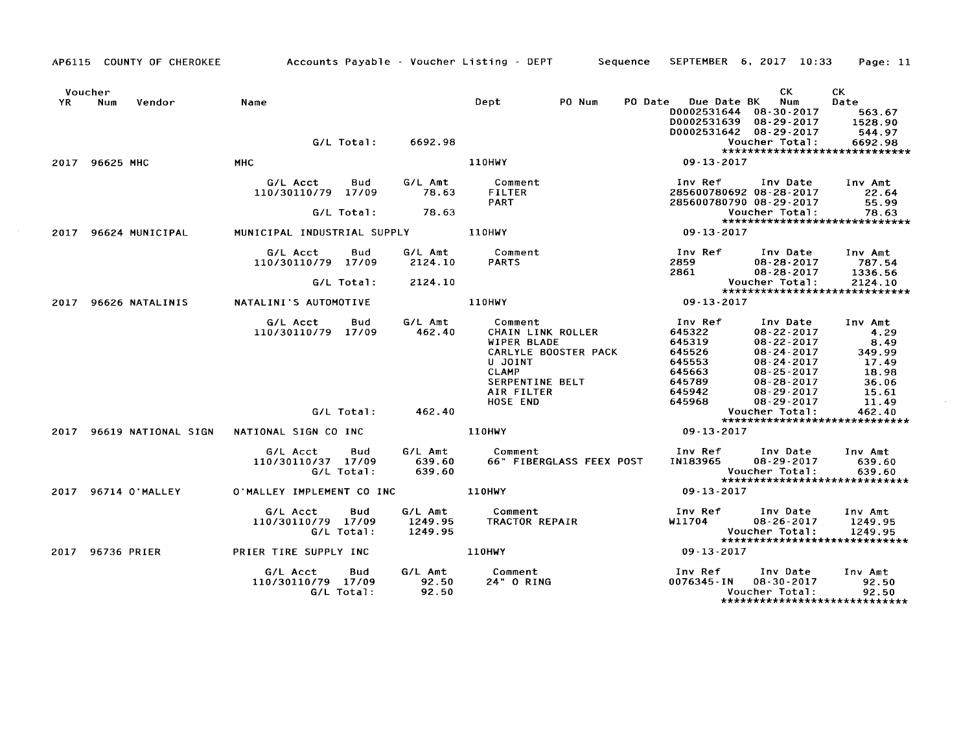|      |                  | AP6115 COUNTY OF CHEROKEE | Accounts Payable - Voucher Listing - DEPT Sequence |                   |                               |                                                                                                         |                      |         |                                                                               | SEPTEMBER 6, 2017 10:33                                                                                                                              | Page: 11                                                              |
|------|------------------|---------------------------|----------------------------------------------------|-------------------|-------------------------------|---------------------------------------------------------------------------------------------------------|----------------------|---------|-------------------------------------------------------------------------------|------------------------------------------------------------------------------------------------------------------------------------------------------|-----------------------------------------------------------------------|
| YR.  | Voucher<br>Num   | Vendor                    | Name                                               |                   |                               | Dept                                                                                                    | PO Num               | PO Date | Due Date BK<br>D0002531639                                                    | CK.<br>Num<br>D0002531644 08-30-2017<br>$08 - 29 - 2017$                                                                                             | CK.<br>Date<br>563.67<br>1528.90                                      |
|      |                  |                           |                                                    |                   | G/L Total: 6692.98            |                                                                                                         |                      |         |                                                                               | D0002531642 08-29-2017<br>Voucher Total:                                                                                                             | 544.97<br>6692.98                                                     |
|      | 2017 96625 MHC   |                           | <b>MHC</b>                                         |                   |                               | <b>110HWY</b>                                                                                           |                      |         | 09-13-2017                                                                    |                                                                                                                                                      | ******************************                                        |
|      |                  |                           | G/L Acct<br>110/30110/79 17/09                     | Bud               | G/L Amt<br>78.63              | Comment<br><b>FILTER</b><br>PART                                                                        |                      |         | Inv Ref                                                                       | Inv Date<br>285600780692 08-28-2017<br>285600780790 08-29-2017                                                                                       | Inv Amt<br>22.64<br>55.99                                             |
|      |                  |                           |                                                    | G/L Total:        | 78.63                         |                                                                                                         |                      |         |                                                                               | Voucher Total:                                                                                                                                       | 78.63<br>******************************                               |
| 2017 |                  | 96624 MUNICIPAL           | MUNICIPAL INDUSTRIAL SUPPLY 110HWY                 |                   |                               |                                                                                                         |                      |         | 09-13-2017                                                                    |                                                                                                                                                      |                                                                       |
|      |                  |                           | G/L Acct<br>110/30110/79 17/09                     | Bud               | G/L Amt<br>2124.10            | Comment<br><b>PARTS</b>                                                                                 |                      |         | Inv Ref<br>2859<br>2861                                                       | Inv Date<br>$08 - 28 - 2017$<br>$08 - 28 - 2017$                                                                                                     | Inv Amt<br>787.54<br>1336.56                                          |
|      |                  |                           |                                                    | G/L Total:        | 2124.10                       |                                                                                                         |                      |         |                                                                               | Voucher Total:                                                                                                                                       | 2124.10<br>******************************                             |
| 2017 |                  | 96626 NATALINIS           | NATALINI'S AUTOMOTIVE                              |                   |                               | <b>110HWY</b>                                                                                           |                      |         | $09 - 13 - 2017$                                                              |                                                                                                                                                      |                                                                       |
|      |                  |                           | G/L Acct<br>110/30110/79 17/09                     | Bud               | G/L Amt<br>462.40             | Comment<br>CHAIN LINK ROLLER<br>WIPER BLADE<br>U JOINT<br><b>CLAMP</b><br>SERPENTINE BELT<br>AIR FILTER | CARLYLE BOOSTER PACK |         | Inv Ref<br>645322<br>645319<br>645526<br>645553<br>645663<br>645789<br>645942 | Inv Date<br>$08 - 22 - 2017$<br>$08 - 22 - 2017$<br>$08 - 24 - 2017$<br>$08 - 24 - 2017$<br>$08 - 25 - 2017$<br>$08 - 28 - 2017$<br>$08 - 29 - 2017$ | Inv Amt<br>4.29<br>8.49<br>349.99<br>17.49<br>18.98<br>36.06<br>15.61 |
|      |                  |                           |                                                    |                   |                               | HOSE END                                                                                                |                      |         | 645968                                                                        | $08 - 29 - 2017$                                                                                                                                     | 11.49                                                                 |
|      |                  |                           |                                                    | G/L Total:        | 462.40                        |                                                                                                         |                      |         |                                                                               | Voucher Total:                                                                                                                                       | 462.40<br>*****************************                               |
|      |                  |                           | 2017 96619 NATIONAL SIGN NATIONAL SIGN CO INC      |                   |                               | <b>110HWY</b>                                                                                           |                      |         | 09-13-2017                                                                    |                                                                                                                                                      |                                                                       |
|      |                  |                           | G/L Acct<br>110/30110/37 17/09                     | Bud<br>G/L Total: | G/L Amt<br>639.60<br>639.60   | Comment<br>66" FIBERGLASS FEEX POST                                                                     |                      |         | Inv Ref<br>IN183965                                                           | Inv Date<br>$08 - 29 - 2017$<br>Voucher Total:                                                                                                       | Inv Amt<br>639.60<br>639.60<br>******************************         |
|      |                  | 2017 96714 0'MALLEY       | O'MALLEY IMPLEMENT CO INC                          |                   |                               | <b>110HWY</b>                                                                                           |                      |         | 09-13-2017                                                                    |                                                                                                                                                      |                                                                       |
|      |                  |                           | G/L Acct<br>110/30110/79 17/09                     | Bud<br>G/L Total: | G/L Amt<br>1249.95<br>1249.95 | Comment<br>TRACTOR REPAIR                                                                               |                      |         | Inv Ref<br>W11704                                                             | Inv Date<br>$08 - 26 - 2017$<br>Voucher Total:                                                                                                       | Inv Amt<br>1249.95<br>1249.95<br>******************************       |
|      | 2017 96736 PRIER |                           | PRIER TIRE SUPPLY INC                              |                   |                               | <b>110HWY</b>                                                                                           |                      |         | 09-13-2017                                                                    |                                                                                                                                                      |                                                                       |
|      |                  |                           | G/L Acct<br>110/30110/79 17/09                     | Bud<br>G/L Total: | G/L Amt<br>92.50<br>92.50     | Comment<br>24" O RING                                                                                   |                      |         | Inv Ref<br>0076345 - IN                                                       | Inv Date<br>08-30-2017<br>Voucher Total:                                                                                                             | Inv Amt<br>92.50<br>92.50<br>*****************************            |

 $\sim$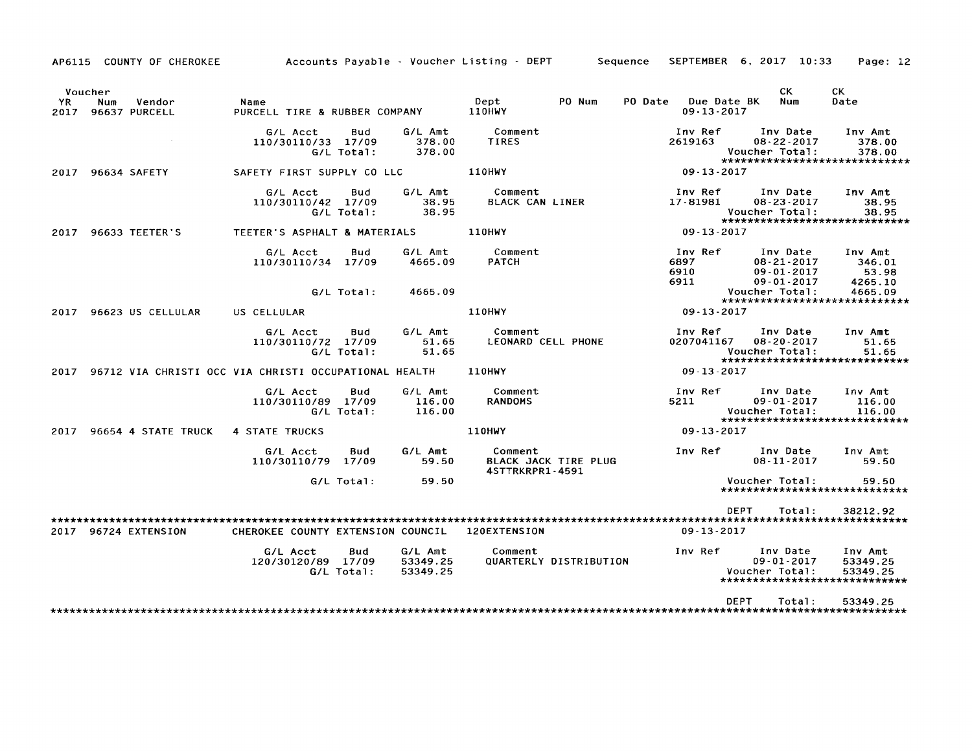AP6115 COUNTY OF CHEROKEE Accounts Payable - Voucher Listing - DEPT Sequence SEPTEMBER 6. 2017 10:33 Page: 12

|             | Voucher |                         |                                                       |                          |                                 |                                   |                               |         |                                 | CK.                                                                                    | СK                                                               |
|-------------|---------|-------------------------|-------------------------------------------------------|--------------------------|---------------------------------|-----------------------------------|-------------------------------|---------|---------------------------------|----------------------------------------------------------------------------------------|------------------------------------------------------------------|
| YR.<br>2017 | Num     | Vendor<br>96637 PURCELL | Name<br>PURCELL TIRE & RUBBER COMPANY                 |                          |                                 | Dept<br><b>110HWY</b>             | PO Num                        | PO Date | Due Date BK<br>$09 - 13 - 2017$ | Num                                                                                    | Date                                                             |
|             |         |                         | G/L Acct<br>110/30110/33 17/09                        | Bud<br>$G/L$ Total:      | G/L Amt<br>378.00<br>378.00     | Comment<br>TIRES                  |                               |         | Inv Ref<br>2619163              | Inv Date<br>$08 - 22 - 2017$<br>Voucher Total:                                         | Inv Amt<br>378.00<br>378.00<br>*****************************     |
| 2017        |         | 96634 SAFETY            | SAFETY FIRST SUPPLY CO LLC                            |                          |                                 | <b>110HWY</b>                     |                               |         | $09 - 13 - 2017$                |                                                                                        |                                                                  |
|             |         |                         | G/L Acct<br>110/30110/42 17/09                        | <b>Bud</b><br>G/L Total: | G/L Amt<br>38.95<br>38.95       | Comment<br><b>BLACK CAN LINER</b> |                               |         | Inv Ref<br>17-81981             | Inv Date<br>$08 - 23 - 2017$<br>Voucher Total:                                         | Inv Amt<br>38.95<br>38.95<br>*****************************       |
| 2017        |         | 96633 TEETER'S          | TEETER'S ASPHALT & MATERIALS                          |                          |                                 | <b>110HWY</b>                     |                               |         | $09 - 13 - 2017$                |                                                                                        |                                                                  |
|             |         |                         | G/L Acct<br>110/30110/34 17/09                        | <b>Bud</b><br>G/L Total: | G/L Amt<br>4665.09<br>4665.09   | Comment<br><b>PATCH</b>           |                               |         | Inv Ref<br>6897<br>6910<br>6911 | Inv Date<br>$08 - 21 - 2017$<br>$09 - 01 - 2017$<br>$09 - 01 - 2017$<br>Voucher Total: | Inv Amt<br>346.01<br>53.98<br>4265.10<br>4665.09                 |
|             |         |                         |                                                       |                          |                                 |                                   |                               |         |                                 |                                                                                        | ******************************                                   |
| 2017        |         | 96623 US CELLULAR       | US CELLULAR                                           |                          |                                 | 110HWY                            |                               |         | 09-13-2017                      |                                                                                        |                                                                  |
|             |         |                         | G/L Acct<br>110/30110/72 17/09                        | Bud<br>G/L Total:        | G/L Amt<br>51.65<br>51.65       | Comment<br>LEONARD CELL PHONE     |                               |         | Inv Ref<br>0207041167           | Inv Date<br>$08 - 20 - 2017$<br>Voucher Total:                                         | Inv Amt<br>51.65<br>51.65<br>*****************************       |
| 2017        |         |                         | 96712 VIA CHRISTI OCC VIA CHRISTI OCCUPATIONAL HEALTH |                          |                                 | 110HWY                            |                               |         | 09 13 2017                      |                                                                                        |                                                                  |
|             |         |                         | G/L Acct<br>110/30110/89 17/09                        | <b>Bud</b><br>G/L Total: | G/L Amt<br>116.00<br>116.00     | Comment<br><b>RANDOMS</b>         |                               |         | Inv Ref<br>5211                 | Inv Date<br>$09 - 01 - 2017$<br>Voucher Total:                                         | Inv Amt<br>116.00<br>116.00<br>*****************************     |
| 2017        |         | 96654 4 STATE TRUCK     | <b>4 STATE TRUCKS</b>                                 |                          |                                 | <b>110HWY</b>                     |                               |         | $09 - 13 - 2017$                |                                                                                        |                                                                  |
|             |         |                         | G/L Acct<br>110/30110/79 17/09                        | Bud                      | G/L Amt<br>59.50                | Comment<br>4STTRKRPR1-4591        | BLACK JACK TIRE PLUG          |         | Inv Ref                         | Inv Date<br>$08 - 11 - 2017$                                                           | Inv Amt<br>59.50                                                 |
|             |         |                         |                                                       | G/L Total:               | 59.50                           |                                   |                               |         |                                 | Voucher Total:                                                                         | 59.50<br>******************************                          |
|             |         |                         |                                                       |                          |                                 |                                   |                               |         | <b>DEPT</b>                     | Total:                                                                                 | 38212.92                                                         |
|             |         |                         |                                                       |                          |                                 |                                   |                               |         |                                 |                                                                                        |                                                                  |
| 2017        |         | 96724 EXTENSION         | CHEROKEE COUNTY EXTENSION COUNCIL                     |                          |                                 | 120EXTENSION                      |                               |         | $09 - 13 - 2017$                |                                                                                        |                                                                  |
|             |         |                         | G/L Acct<br>120/30120/89 17/09                        | Bud<br>G/L Total:        | G/L Amt<br>53349.25<br>53349.25 | Comment                           | <b>QUARTERLY DISTRIBUTION</b> |         | Inv Ref                         | Inv Date<br>$09 - 01 - 2017$<br>Voucher Total:                                         | Inv Amt<br>53349.25<br>53349.25<br>***************************** |
|             |         |                         |                                                       |                          |                                 |                                   |                               |         | DEPT                            | Total:                                                                                 | 53349.25                                                         |
|             |         |                         |                                                       |                          |                                 |                                   |                               |         |                                 |                                                                                        |                                                                  |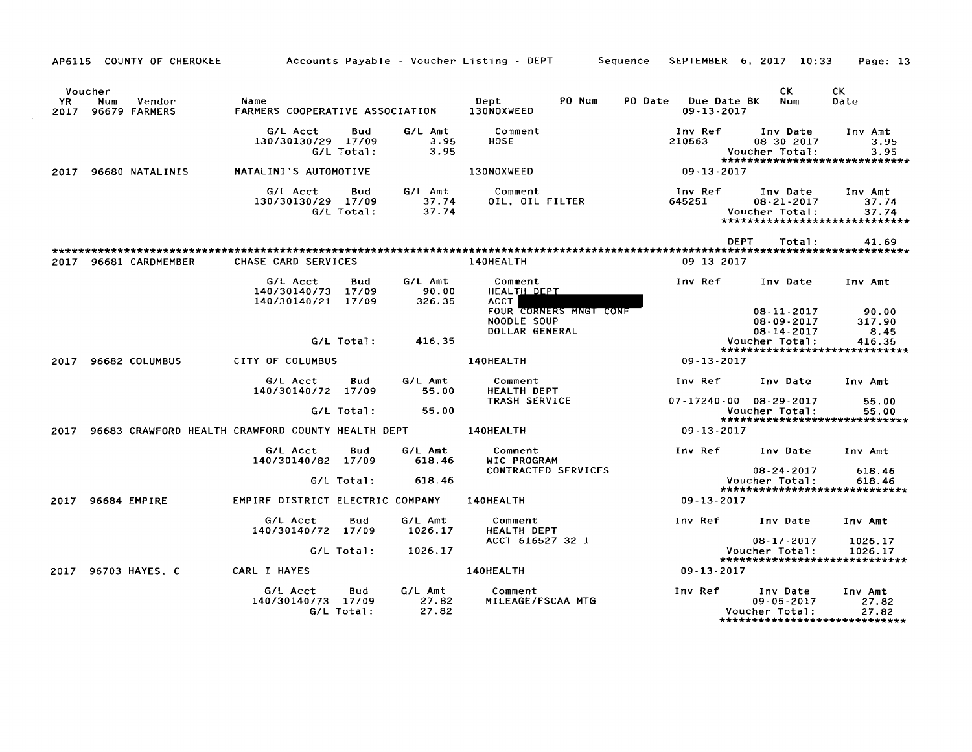|      |                | AP6115 COUNTY OF CHEROKEE    |                                                   |                   |                            | Accounts Payable - Voucher Listing - DEPT               | Sequence<br>SEPTEMBER 6, 2017 10:33        |                                                          | Page: 13                                                    |
|------|----------------|------------------------------|---------------------------------------------------|-------------------|----------------------------|---------------------------------------------------------|--------------------------------------------|----------------------------------------------------------|-------------------------------------------------------------|
| YR.  | Voucher<br>Num | Vendor<br>2017 96679 FARMERS | Name<br>FARMERS COOPERATIVE ASSOCIATION           |                   |                            | Dept<br>PO Num<br>130NOXWEED                            | PO Date<br>Due Date BK<br>$09 - 13 - 2017$ | CK.<br>Num                                               | CK.<br>Date                                                 |
|      |                |                              | G/L Acct<br>130/30130/29 17/09                    | Bud<br>G/L Total: | G/L Amt<br>3.95<br>3.95    | Comment<br><b>HOSE</b>                                  | Inv Ref<br>210563                          | Inv Date<br>$08 - 30 - 2017$<br>Voucher Total:           | Inv Amt<br>3.95<br>3.95<br>******************************   |
|      |                | 2017 96680 NATALINIS         | NATALINI'S AUTOMOTIVE                             |                   |                            | 130NOXWEED                                              | $09 - 13 - 2017$                           |                                                          |                                                             |
|      |                |                              | G/L Acct<br>130/30130/29 17/09                    | Bud<br>G/L Total: | G/L Amt<br>37.74<br>37.74  | Comment<br>OIL, OIL FILTER                              | Inv Ref<br>645251                          | Inv Date<br>$08 - 21 - 2017$<br>Voucher Total:           | Inv Amt<br>37.74<br>37.74<br>****************************** |
|      |                |                              |                                                   |                   |                            |                                                         | DEPT                                       | Total:                                                   | 41.69                                                       |
|      |                | 2017 96681 CARDMEMBER        | CHASE CARD SERVICES                               |                   |                            | 140HEALTH                                               | 09-13-2017                                 |                                                          |                                                             |
|      |                |                              | G/L Acct<br>140/30140/73<br>140/30140/21 17/09    | Bud<br>17/09      | G/L Amt<br>90.00<br>326.35 | Comment<br>HEALTH DEPT<br>ACCT                          | Inv Ref                                    | Inv Date                                                 | Inv Amt                                                     |
|      |                |                              |                                                   |                   |                            | FOUR CORNERS MNGT CONF<br>NOODLE SOUP<br>DOLLAR GENERAL |                                            | $08 - 11 - 2017$<br>$08 - 09 - 2017$<br>$08 - 14 - 2017$ | 90.00<br>317.90<br>8.45                                     |
|      |                |                              |                                                   | G/L Total:        | 416.35                     |                                                         |                                            | Voucher Total:                                           | 416.35<br>*****************************                     |
|      |                | 2017 96682 COLUMBUS          | CITY OF COLUMBUS                                  |                   |                            | 140HEALTH                                               | $09 - 13 - 2017$                           |                                                          |                                                             |
|      |                |                              | G/L Acct<br>140/30140/72 17/09                    | Bud               | G/L Amt<br>55.00           | Comment<br><b>HEALTH DEPT</b>                           | Inv Ref                                    | Inv Date                                                 | Inv Amt                                                     |
|      |                |                              |                                                   | G/L Total:        | 55.00                      | TRASH SERVICE                                           | 07-17240-00 08-29-2017                     | Voucher Total:                                           | 55.00<br>55.00<br>*****************************             |
| 2017 |                |                              | 96683 CRAWFORD HEALTH CRAWFORD COUNTY HEALTH DEPT |                   |                            | 140HEALTH                                               | $09 - 13 - 2017$                           |                                                          |                                                             |
|      |                |                              | G/L Acct<br>140/30140/82 17/09                    | Bud               | G/L Amt<br>618.46          | Comment<br>WIC PROGRAM                                  | Inv Ref                                    | Inv Date                                                 | Inv Amt                                                     |
|      |                |                              |                                                   | G/L Total:        | 618.46                     | CONTRACTED SERVICES                                     |                                            | $08 - 24 - 2017$<br>Voucher Total:                       | 618.46<br>618.46<br>*****************************           |
| 2017 |                | 96684 EMPIRE                 | EMPIRE DISTRICT ELECTRIC COMPANY                  |                   |                            | 140HEALTH                                               | $09 - 13 - 2017$                           |                                                          |                                                             |
|      |                |                              | G/L Acct<br>140/30140/72 17/09                    | Bud               | G/L Amt<br>1026.17         | Comment<br>HEALTH DEPT<br>ACCT 616527-32-1              | Inv Ref                                    | Inv Date                                                 | Inv Amt                                                     |
|      |                |                              |                                                   | G/L Total:        | 1026.17                    |                                                         |                                            | $08 - 17 - 2017$<br>Voucher Total:                       | 1026.17<br>1026.17<br>*****************************         |
|      |                | 2017 96703 HAYES, C          | CARL I HAYES                                      |                   |                            | 140HEALTH                                               | 09-13-2017                                 |                                                          |                                                             |
|      |                |                              | G/L Acct<br>140/30140/73 17/09                    | Bud<br>G/L Total: | G/L Amt<br>27.82<br>27.82  | Comment<br>MILEAGE/FSCAA MTG                            | Inv Ref                                    | Inv Date<br>$09 - 05 - 2017$<br>Voucher Total:           | Inv Amt<br>27.82<br>27.82<br>****************************** |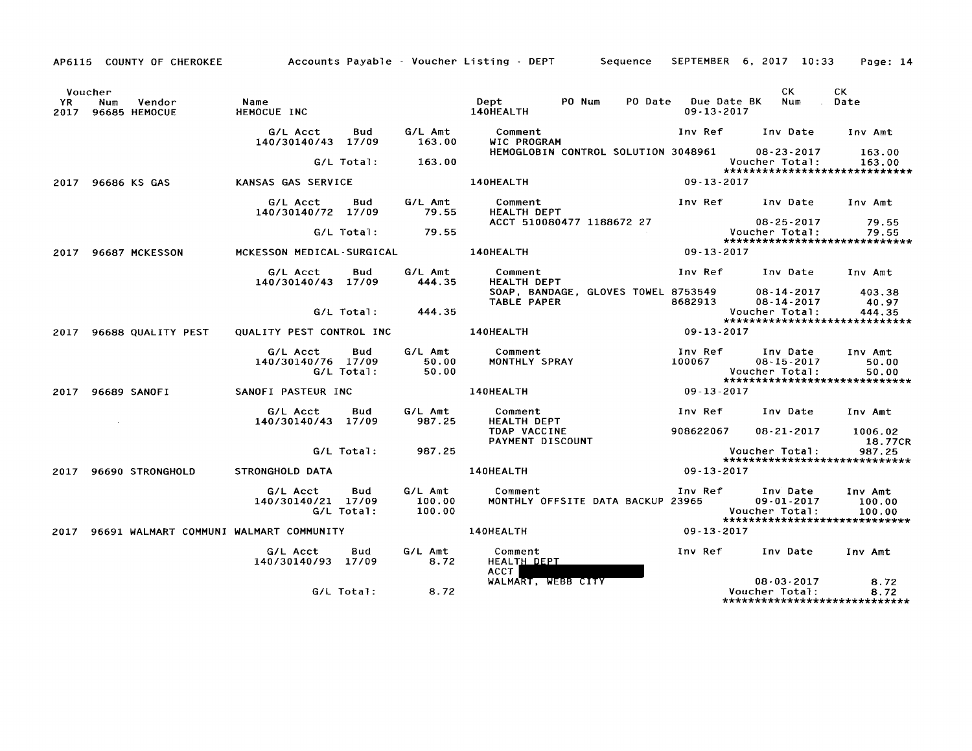AP6115 COUNTY OF CHEROKEE Accounts Payable - Voucher Listing - DEPT Sequence SEPTEMBER 6, 2017 10:33 Page: 14

|      | Voucher |                              |                                              |                   |                             |                                                    |                                 | CK.                                                                              | CK.                                                |
|------|---------|------------------------------|----------------------------------------------|-------------------|-----------------------------|----------------------------------------------------|---------------------------------|----------------------------------------------------------------------------------|----------------------------------------------------|
| YR.  | Num     | Vendor<br>2017 96685 HEMOCUE | Name<br>HEMOCUE INC                          |                   |                             | Dept<br>PO Num<br>PO Date<br>140HEALTH             | Due Date BK<br>$09 - 13 - 2017$ | Num                                                                              | Date                                               |
|      |         |                              | G/L Acct<br>140/30140/43 17/09               | Bud               | G/L Amt<br>163.00           | Comment<br>WIC PROGRAM                             | Inv Ref                         | Inv Date                                                                         | Inv Amt                                            |
|      |         |                              |                                              | G/L Total:        | 163.00                      | HEMOGLOBIN CONTROL SOLUTION 3048961                |                                 | $08 - 23 - 2017$<br>Voucher Total:                                               | 163.00<br>163.00<br>****************************** |
|      |         | 2017 96686 KS GAS            | KANSAS GAS SERVICE                           |                   |                             | 140HEALTH                                          | $09 - 13 - 2017$                |                                                                                  |                                                    |
|      |         |                              | G/L Acct<br>140/30140/72 17/09               | Bud               | G/L Amt<br>79.55            | Comment<br><b>HEALTH DEPT</b>                      | Inv Ref                         | Inv Date                                                                         | Inv Amt                                            |
|      |         |                              |                                              | G/L Total:        | 79.55                       | ACCT 510080477 1188672 27                          |                                 | $08 - 25 - 2017$<br>Voucher Total:                                               | 79.55<br>79.55<br>*****************************    |
|      |         | 2017 96687 MCKESSON          | MCKESSON MEDICAL-SURGICAL                    |                   |                             | 140HEALTH                                          | $09 - 13 - 2017$                |                                                                                  |                                                    |
|      |         |                              | G/L Acct<br>140/30140/43 17/09               | Bud               | G/L Amt<br>444.35           | Comment<br><b>HEALTH DEPT</b>                      | Inv Ref                         | Inv Date                                                                         | Inv Amt                                            |
|      |         |                              |                                              |                   |                             | SOAP, BANDAGE, GLOVES TOWEL 8753549<br>TABLE PAPER | 8682913                         | $08 - 14 - 2017$<br>08-14-2017                                                   | 403.38<br>40.97                                    |
|      |         |                              |                                              | G/L Total:        | 444.35                      |                                                    |                                 | Voucher Total:<br>******************************                                 | 444.35                                             |
| 2017 |         | 96688 QUALITY PEST           | QUALITY PEST CONTROL INC                     |                   |                             | 140HEALTH                                          | $09 - 13 - 2017$                |                                                                                  |                                                    |
|      |         |                              | G/L Acct<br>140/30140/76 17/09               | Bud<br>G/L Total: | G/L Amt<br>50.00<br>50.00   | Comment<br>MONTHLY SPRAY                           | Inv Ref<br>100067               | Inv Date<br>$08 - 15 - 2017$<br>Voucher Total:<br>****************************** | Inv Amt<br>50.00<br>50.00                          |
|      |         | 2017 96689 SANOFI            | SANOFI PASTEUR INC                           |                   |                             | 140HEALTH                                          | 09-13-2017                      |                                                                                  |                                                    |
|      |         |                              | G/L Acct<br>140/30140/43 17/09               | Bud               | G/L Amt<br>987.25           | Comment<br><b>HEALTH DEPT</b>                      | Inv Ref                         | Inv Date                                                                         | Inv Amt                                            |
|      |         |                              |                                              |                   |                             | TDAP VACCINE<br>PAYMENT DISCOUNT                   | 908622067                       | 08-21-2017                                                                       | 1006.02<br>18.77CR                                 |
|      |         |                              |                                              | G/L Total:        | 987.25                      |                                                    |                                 | Voucher Total:<br>*****************************                                  | 987.25                                             |
|      |         | 2017 96690 STRONGHOLD        | STRONGHOLD DATA                              |                   |                             | 140HEALTH                                          | $09 - 13 - 2017$                |                                                                                  |                                                    |
|      |         |                              | G/L Acct<br>140/30140/21 17/09               | Bud<br>G/L Total: | G/L Amt<br>100.00<br>100.00 | Comment<br>MONTHLY OFFSITE DATA BACKUP 23965       | Inv Ref                         | Inv Date<br>$09 - 01 - 2017$<br>Voucher Total:<br>****************************** | Inv Amt<br>100.00<br>100.00                        |
|      |         |                              | 2017 96691 WALMART COMMUNI WALMART COMMUNITY |                   |                             | 140HEALTH                                          | $09 - 13 - 2017$                |                                                                                  |                                                    |
|      |         |                              | G/L Acct<br>140/30140/93 17/09               | Bud               | G/L Amt<br>8.72             | Comment<br>HEALTH DEPT<br><b>ACCT</b>              | Inv Ref                         | Inv Date                                                                         | Inv Amt                                            |
|      |         |                              |                                              | G/L Total:        | 8.72                        | WALMART, WEBB CITY                                 |                                 | $08 - 03 - 2017$<br>Voucher Total:<br>*****************************              | 8.72<br>8.72                                       |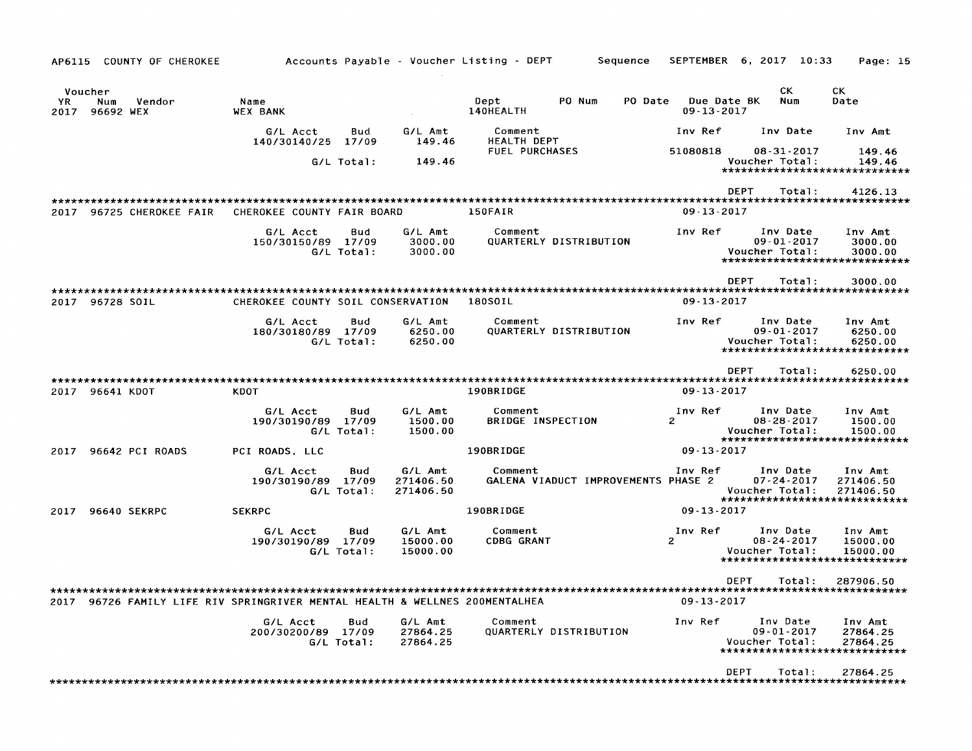| COUNTY OF CHEROKEE<br>AP6115                         | Accounts Payable - Voucher Listing - DEPT                              |                                   | Sequence                                       | SEPTEMBER 6, 2017 10:33<br>Page: 15                                                                                                          |
|------------------------------------------------------|------------------------------------------------------------------------|-----------------------------------|------------------------------------------------|----------------------------------------------------------------------------------------------------------------------------------------------|
| Voucher<br>Vendor<br>YR.<br>Num<br>96692 WEX<br>2017 | Name<br><b>WEX BANK</b>                                                |                                   | PO Num<br>PO Date<br>Dept<br>140HEALTH         | СK<br>CK.<br>Due Date BK<br>Num<br>Date<br>09-13-2017                                                                                        |
|                                                      | G/L Acct<br>Bud<br>140/30140/25<br>17/09                               | G/L Amt<br>149.46                 | Comment<br>HEALTH DEPT                         | Inv Ref<br>Inv Date<br>Inv Amt                                                                                                               |
|                                                      | G/L Total:                                                             | 149.46                            | <b>FUEL PURCHASES</b>                          | 51080818<br>08-31-2017<br>149.46<br>Voucher Total:<br>149.46<br>*****************************                                                |
| 2017<br>96725 CHEROKEE FAIR                          | CHEROKEE COUNTY FAIR BOARD                                             |                                   | 150FAIR                                        | <b>DEPT</b><br>Total:<br>4126.13<br>$09 - 13 - 2017$                                                                                         |
|                                                      | G/L Acct<br>Bud<br>150/30150/89 17/09<br>G/L Total:                    | G/L Amt<br>3000.00<br>3000.00     | Comment<br>QUARTERLY DISTRIBUTION              | Inv Ref<br>Inv Date<br>Inv Amt<br>09-01-2017<br>3000.00<br>Voucher Total:<br>3000.00<br>*****************************                        |
| 2017 96728 SOIL                                      | CHEROKEE COUNTY SOIL CONSERVATION                                      |                                   | 180S0IL                                        | <b>DEPT</b><br>Total:<br>3000.00<br>$09 - 13 - 2017$                                                                                         |
|                                                      | G/L Acct<br>Bud<br>180/30180/89 17/09<br>G/L Total:                    | G/L Amt<br>6250.00<br>6250.00     | Comment<br>QUARTERLY DISTRIBUTION              | Inv Ref<br>Inv Date<br>Inv Amt<br>$09 - 01 - 2017$<br>6250.00<br>Voucher Total:<br>6250.00<br>******************************                 |
|                                                      |                                                                        |                                   |                                                | DEPT<br>Total:<br>6250.00<br>*************************                                                                                       |
| 2017 96641 KDOT                                      | KDOT                                                                   |                                   | 190BRIDGE                                      | $09 - 13 - 2017$                                                                                                                             |
|                                                      | Bud<br>G/L Acct<br>190/30190/89<br>17/09<br>G/L Total:                 | G/L Amt<br>1500.00<br>1500.00     | Comment<br>BRIDGE INSPECTION                   | Inv Date<br>Inv Amt<br>Inv Ref<br>$\mathcal{P}$<br>$08 - 28 - 2017$<br>1500.00<br>Voucher Total:<br>1500.00<br>***************************** |
| 96642 PCI ROADS<br>2017                              | PCI ROADS, LLC                                                         |                                   | 190BRIDGE                                      | $09 - 13 - 2017$                                                                                                                             |
|                                                      | G/L Acct<br>Bud<br>190/30190/89 17/09<br>G/L Total:                    | G/L Amt<br>271406.50<br>271406.50 | Comment<br>GALENA VIADUCT IMPROVEMENTS PHASE 2 | Inv Ref<br>Inv Date<br>Inv Amt<br>$07 - 24 - 2017$<br>271406.50<br>Voucher Total:<br>271406.50<br>******************************             |
| <b>96640 SEKRPC</b><br>2017                          | <b>SEKRPC</b>                                                          |                                   | 190BRIDGE                                      | $09 - 13 - 2017$                                                                                                                             |
|                                                      | G/L Acct<br>Bud<br>190/30190/89 17/09<br>G/L Total:                    | G/L Amt<br>15000.00<br>15000.00   | Comment<br><b>CDBG GRANT</b>                   | Inv Date<br>Inv Ref<br>Inv Amt<br>08-24-2017<br>2<br>15000.00<br>Voucher Total:<br>15000.00<br>*****************************                 |
| 2017                                                 | 96726 FAMILY LIFE RIV SPRINGRIVER MENTAL HEALTH & WELLNES 200MENTALHEA |                                   |                                                | <b>DEPT</b><br>Total:<br>287906.50<br>09-13-2017                                                                                             |
|                                                      | G/L Acct<br>Bud<br>200/30200/89 17/09<br>G/L Total:                    | G/L Amt<br>27864.25<br>27864.25   | Comment<br><b>QUARTERLY DISTRIBUTION</b>       | Inv Ref<br>Inv Date<br>Inv Amt<br>$09 - 01 - 2017$<br>27864.25<br>Voucher Total:<br>27864.25<br>*****************************                |
|                                                      |                                                                        |                                   |                                                | <b>DEPT</b><br>Total:<br>27864.25                                                                                                            |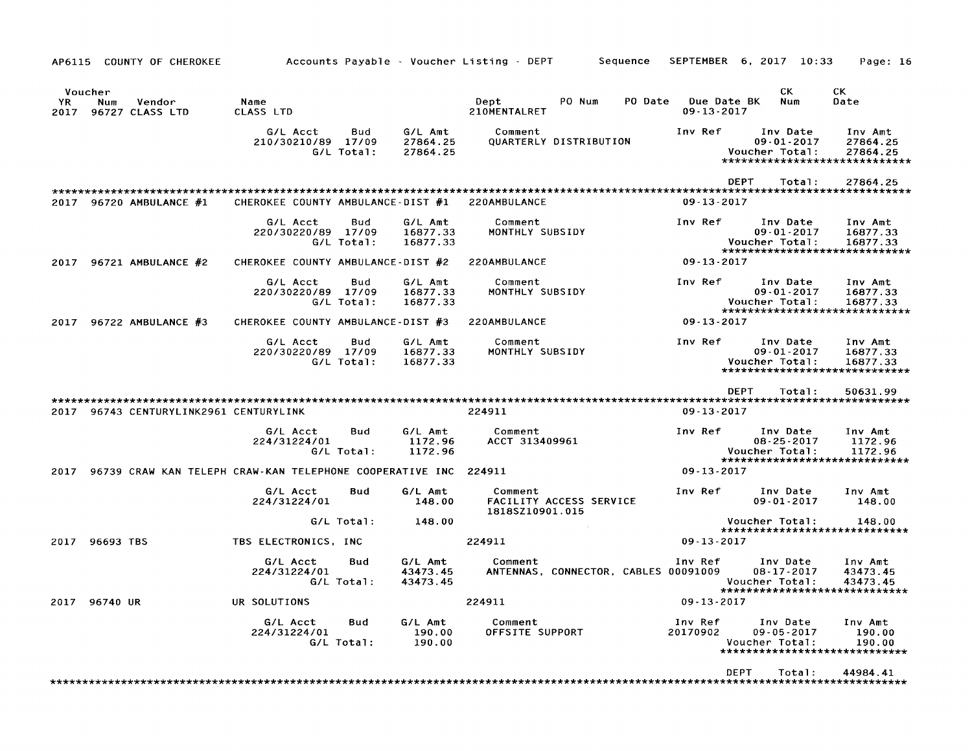| COUNTY OF CHEROKEE<br>AP6115                               | Accounts Payable - Voucher Listing - DEPT                |                                 | Sequence                                              | SEPTEMBER                       | $6, 2017$ $10:33$                                                                | Page: 16                        |
|------------------------------------------------------------|----------------------------------------------------------|---------------------------------|-------------------------------------------------------|---------------------------------|----------------------------------------------------------------------------------|---------------------------------|
| Voucher<br>Vendor<br>YR.<br>Num<br>2017<br>96727 CLASS LTD | Name<br>CLASS LTD                                        |                                 | Dept<br>PO Num<br>PO Date<br>210MENTALRET             | Due Date BK<br>$09 - 13 - 2017$ | СK<br>Num                                                                        | CK.<br>Date                     |
|                                                            | G/L Acct<br>Bud<br>210/30210/89 17/09<br>G/L Total:      | G/L Amt<br>27864.25<br>27864.25 | Comment<br>QUARTERLY DISTRIBUTION                     | Inv Ref                         | Inv Date<br>$09 - 01 - 2017$<br>Voucher Total:<br>*****************************  | Inv Amt<br>27864.25<br>27864.25 |
|                                                            |                                                          |                                 |                                                       |                                 | DEPT<br>Total:                                                                   | 27864.25                        |
| 2017<br>96720 AMBULANCE #1                                 | CHEROKEE COUNTY AMBULANCE-DIST #1                        |                                 | 220AMBULANCE                                          | $09 - 13 - 2017$                |                                                                                  |                                 |
|                                                            | G/L Acct<br>Bud<br>220/30220/89 17/09<br>G/L Total:      | G/L Amt<br>16877.33<br>16877.33 | Comment<br>MONTHLY SUBSIDY                            | Inv Ref                         | Inv Date<br>$09 - 01 - 2017$<br>Voucher Total:<br>*****************************  | Inv Amt<br>16877.33<br>16877.33 |
| 96721 AMBULANCE #2<br>2017                                 | CHEROKEE COUNTY AMBULANCE-DIST #2                        |                                 | 220AMBULANCE                                          | $09 - 13 - 2017$                |                                                                                  |                                 |
|                                                            | G/L Acct<br>Bud<br>220/30220/89 17/09<br>G/L Total:      | G/L Amt<br>16877.33<br>16877.33 | Comment<br>MONTHLY SUBSIDY                            | Inv Ref                         | Inv Date<br>09-01-2017<br>Voucher Total:<br>*****************************        | Inv Amt<br>16877.33<br>16877.33 |
| 96722 AMBULANCE #3<br>2017                                 | CHEROKEE COUNTY AMBULANCE-DIST #3                        |                                 | 220AMBULANCE                                          | $09 - 13 - 2017$                |                                                                                  |                                 |
|                                                            | G/L Acct<br>Bud<br>220/30220/89 17/09<br>G/L Total:      | G/L Amt<br>16877.33<br>16877.33 | Comment<br>MONTHLY SUBSIDY                            | Inv Ref                         | Inv Date<br>09-01-2017<br>Voucher Total:<br>*****************************        | Inv Amt<br>16877.33<br>16877.33 |
| 2017<br>96743 CENTURYLINK2961 CENTURYLINK                  |                                                          |                                 | 224911                                                | $09 - 13 - 2017$                | <b>DEPT</b><br>Total:                                                            | 50631.99                        |
|                                                            | Bud<br>G/L Acct<br>224/31224/01<br>G/L Total:            | G/L Amt<br>1172.96<br>1172.96   | Comment<br>ACCT 313409961                             | Inv Ref                         | Inv Date<br>$08 - 25 - 2017$<br>Voucher Total:<br>*****************************  | Inv Amt<br>1172.96<br>1172.96   |
| 2017                                                       | 96739 CRAW KAN TELEPH CRAW-KAN TELEPHONE COOPERATIVE INC |                                 | 224911                                                | 09 13 2017                      |                                                                                  |                                 |
|                                                            | G/L Acct<br>Bud<br>224/31224/01                          | G/L Amt<br>148.00               | Comment<br>FACILITY ACCESS SERVICE<br>1818SZ10901.015 | Inv Ref                         | Inv Date<br>$09 - 01 - 2017$                                                     | Inv Amt<br>148.00               |
|                                                            | G/L Total:                                               | 148.00                          |                                                       |                                 | Voucher Total:<br>*****************************                                  | 148.00                          |
| 96693 TBS<br>2017                                          | TBS ELECTRONICS, INC                                     |                                 | 224911                                                | $09 - 13 - 2017$                |                                                                                  |                                 |
|                                                            | G/L Acct<br>Bud<br>224/31224/01<br>G/L Total:            | G/L Amt<br>43473.45<br>43473.45 | Comment<br>ANTENNAS, CONNECTOR, CABLES 00091009       | Inv Ref                         | Inv Date<br>$08 - 17 - 2017$<br>Voucher Total:<br>*****************************  | Inv Amt<br>43473.45<br>43473.45 |
| 96740 UR<br>2017                                           | UR SOLUTIONS                                             |                                 | 224911                                                | $09 - 13 - 2017$                |                                                                                  |                                 |
|                                                            | G/L Acct<br>Bud<br>224/31224/01<br>G/L Total:            | G/L Amt<br>190.00<br>190.00     | Comment<br>OFFSITE SUPPORT                            | Inv Ref<br>20170902             | Inv Date<br>$09 - 05 - 2017$<br>Voucher Total:<br>****************************** | Inv Amt<br>190.00<br>190.00     |
|                                                            |                                                          |                                 |                                                       |                                 | <b>DEPT</b><br>Total:                                                            | 44984.41                        |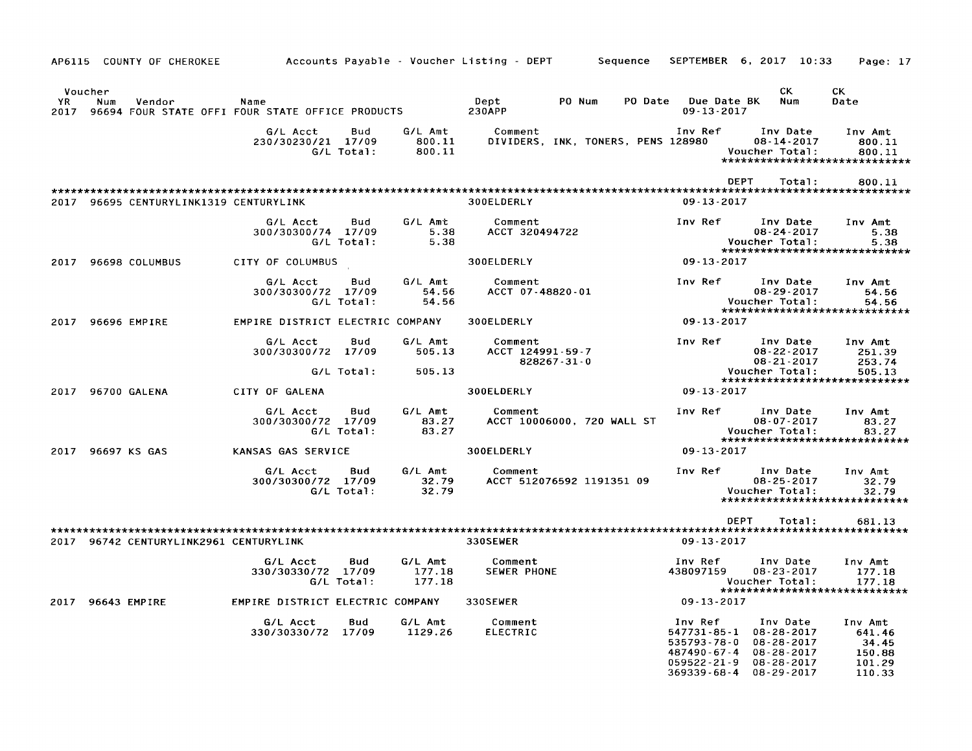| AP6115 COUNTY OF CHEROKEE               |                                                          |                             | Accounts Payable - Voucher Listing - DEPT<br>Sequence | SEPTEMBER 6, 2017 10:33                                                                                                                                                                            | Page: 17                                                      |
|-----------------------------------------|----------------------------------------------------------|-----------------------------|-------------------------------------------------------|----------------------------------------------------------------------------------------------------------------------------------------------------------------------------------------------------|---------------------------------------------------------------|
| Voucher<br>YR.<br>Num<br>Vendor<br>2017 | Name<br>96694 FOUR STATE OFFI FOUR STATE OFFICE PRODUCTS |                             | Dept<br>PO Num<br>PO Date<br><b>230APP</b>            | CK.<br>Due Date BK<br>$09 - 13 - 2017$                                                                                                                                                             | СK<br>Num<br>Date                                             |
|                                         | G/L Acct<br>Bud<br>230/30230/21 17/09<br>G/L Total:      | G/L Amt<br>800.11<br>800.11 | Comment<br>DIVIDERS, INK, TONERS, PENS 128980         | Inv Ref<br>Inv Date<br>$08 - 14 - 2017$<br>Voucher Total:                                                                                                                                          | Inv Amt<br>800.11<br>800.11<br>****************************** |
|                                         |                                                          |                             |                                                       | <b>DEPT</b>                                                                                                                                                                                        | Total:<br>800.11                                              |
| 2017 96695 CENTURYLINK1319 CENTURYLINK  |                                                          |                             | 300ELDERLY                                            | $09 - 13 - 2017$                                                                                                                                                                                   |                                                               |
|                                         | G/L Acct<br>Bud<br>300/30300/74 17/09<br>G/L Total:      | G/L Amt<br>5.38<br>5.38     | Comment<br>ACCT 320494722                             | Inv Ref<br>Inv Date<br>$08 - 24 - 2017$<br>Voucher Total:                                                                                                                                          | Inv Amt<br>5.38<br>5.38<br>*****************************      |
| 96698 COLUMBUS<br>2017                  | CITY OF COLUMBUS                                         |                             | 300ELDERLY                                            | 09-13-2017                                                                                                                                                                                         |                                                               |
|                                         | G/L Acct<br>Bud<br>300/30300/72 17/09<br>G/L Total:      | G/L Amt<br>54.56<br>54.56   | Comment<br>ACCT 07-48820-01                           | Inv Ref<br>Inv Date<br>$08 - 29 - 2017$<br>Voucher Total:                                                                                                                                          | Inv Amt<br>54.56<br>54.56<br>******************************   |
| 96696 EMPIRE<br>2017                    | EMPIRE DISTRICT ELECTRIC COMPANY                         |                             | 300ELDERLY                                            | $09 - 13 - 2017$                                                                                                                                                                                   |                                                               |
|                                         | G/L Acct<br>Bud<br>300/30300/72 17/09<br>G/L Total:      | G/L Amt<br>505.13<br>505.13 | Comment<br>ACCT 124991-59-7<br>828267-31-0            | Inv Ref<br>Inv Date<br>$08 - 22 - 2017$<br>$08 - 21 - 2017$<br>Voucher Total:                                                                                                                      | Inv Amt<br>251.39<br>253.74<br>505.13                         |
| 96700 GALENA<br>2017                    | CITY OF GALENA                                           |                             | 300ELDERLY                                            | $09 - 13 - 2017$                                                                                                                                                                                   | *****************************                                 |
|                                         | G/L Acct<br>Bud<br>300/30300/72 17/09<br>G/L Total:      | G/L Amt<br>83.27<br>83.27   | Comment<br>ACCT 10006000, 720 WALL ST                 | Inv Ref<br>Inv Date<br>$08 - 07 - 2017$<br>Voucher Total:                                                                                                                                          | Inv Amt<br>83.27<br>83.27<br>******************************   |
| 2017 96697 KS GAS                       | KANSAS GAS SERVICE                                       |                             | 300ELDERLY                                            | $09 - 13 - 2017$                                                                                                                                                                                   |                                                               |
|                                         | G/L Acct<br>Bud<br>300/30300/72 17/09<br>G/L Total:      | G/L Amt<br>32.79<br>32.79   | Comment<br>ACCT 512076592 1191351 09                  | Inv Ref<br>Inv Date<br>08-25-2017<br>Voucher Total:                                                                                                                                                | Inv Amt<br>32.79<br>32.79<br>*****************************    |
|                                         |                                                          |                             |                                                       | <b>DEPT</b>                                                                                                                                                                                        | Total:<br>681.13                                              |
| 2017 96742 CENTURYLINK2961 CENTURYLINK  |                                                          |                             | 330SEWER                                              | $09 - 13 - 2017$                                                                                                                                                                                   |                                                               |
|                                         | Bud<br>G/L Acct<br>330/30330/72 17/09<br>G/L Total:      | G/L Amt<br>177.18<br>177.18 | Comment<br>SEWER PHONE                                | Inv Ref<br>Inv Date<br>438097159<br>$08 - 23 - 2017$<br>Voucher Total:                                                                                                                             | Inv Amt<br>177.18<br>177.18<br>****************************** |
| 2017 96643 EMPIRE                       | EMPIRE DISTRICT ELECTRIC COMPANY                         |                             | 330SEWER                                              | $09 - 13 - 2017$                                                                                                                                                                                   |                                                               |
|                                         | G/L Acct<br>Bud<br>330/30330/72 17/09                    | G/L Amt<br>1129.26          | Comment<br><b>ELECTRIC</b>                            | Inv Ref<br>Inv Date<br>547731-85-1<br>08-28-2017<br>535793-78-0<br>$08 - 28 - 2017$<br>487490-67-4<br>$08 - 28 - 2017$<br>$059522 - 21 - 9$<br>$08 - 28 - 2017$<br>369339-68-4<br>$08 - 29 - 2017$ | Inv Amt<br>641.46<br>34.45<br>150.88<br>101.29<br>110.33      |